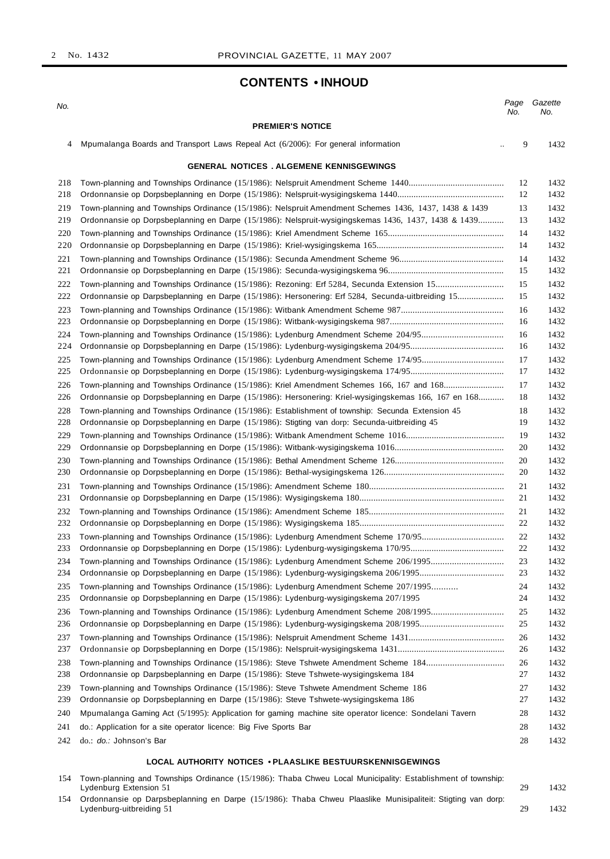# **CONTENTS • INHOUD**

| No.        |                                                                                                        | Page<br>No. | Gazette<br>No. |
|------------|--------------------------------------------------------------------------------------------------------|-------------|----------------|
|            | <b>PREMIER'S NOTICE</b>                                                                                |             |                |
| 4          | Mpumalanga Boards and Transport Laws Repeal Act (6/2006): For general information                      | 9           | 1432           |
|            | <b>GENERAL NOTICES . ALGEMENE KENNISGEWINGS</b>                                                        |             |                |
| 218        |                                                                                                        | 12          | 1432           |
| 218        |                                                                                                        | 12          | 1432           |
| 219        | Town-planning and Townships Ordinance (15/1986): Nelspruit Amendment Schemes 1436, 1437, 1438 & 1439   | 13          | 1432           |
| 219        | Ordonnansie op Dorpsbeplanning en Darpe (15/1986): Nelspruit-wysigingskemas 1436, 1437, 1438 & 1439    | 13          | 1432           |
| 220        |                                                                                                        | 14          | 1432           |
| 220        |                                                                                                        | 14          | 1432           |
| 221        |                                                                                                        | 14          | 1432           |
| 221        |                                                                                                        | 15          | 1432           |
| 222        |                                                                                                        | 15          | 1432           |
| 222        | Ordonnansie op Darpsbeplanning en Darpe (15/1986): Hersonering: Erf 5284, Secunda-uitbreiding 15       | 15          | 1432           |
| 223        |                                                                                                        | 16          | 1432           |
| 223        |                                                                                                        | 16          | 1432           |
| 224        |                                                                                                        | 16          | 1432           |
| 224        |                                                                                                        | 16          | 1432           |
| 225        | Town-planning and Townships Ordinance (15/1986): Lydenburg Amendment Scheme 174/95                     | 17          | 1432           |
| 225        |                                                                                                        | 17          | 1432           |
| 226        | Town-planning and Townships Ordinance (15/1986): Kriel Amendment Schemes 166, 167 and 168              | 17          | 1432           |
| 226        | Ordonnansie op Dorpsbeplanning en Darpe (15/1986): Hersonering: Kriel-wysigingskemas 166, 167 en 168   | 18          | 1432           |
| 228        | Town-planning and Townships Ordinance (15/1986): Establishment of township: Secunda Extension 45       | 18          | 1432           |
| 228        | Ordonnansie op Dorpsbeplanning en Darpe (15/1986): Stigting van dorp: Secunda-uitbreiding 45           | 19          | 1432           |
| 229        |                                                                                                        | 19          | 1432           |
| 229        |                                                                                                        | 20          | 1432           |
| 230<br>230 |                                                                                                        | 20<br>20    | 1432<br>1432   |
|            |                                                                                                        |             |                |
| 231        |                                                                                                        | 21<br>21    | 1432<br>1432   |
| 231        |                                                                                                        |             |                |
| 232<br>232 |                                                                                                        | 21<br>22    | 1432<br>1432   |
| 233        |                                                                                                        | 22          | 1432           |
| 233        |                                                                                                        | 22          | 1432           |
| 234        | Town-planning and Townships Ordinance (15/1986): Lydenburg Amendment Scheme 206/1995                   | 23          | 1432           |
| 234        |                                                                                                        | 23          | 1432           |
| 235        | Town-planning and Townships Ordinance (15/1986): Lydenburg Amendment Scheme 207/1995                   | 24          | 1432           |
| 235        | Ordonnansie op Dorpsbeplanning en Darpe (15/1986): Lydenburg-wysigingskema 207/1995                    | 24          | 1432           |
| 236        | Town-planning and Townships Ordinance (15/1986): Lydenburg Amendment Scheme 208/1995                   | 25          | 1432           |
| 236        |                                                                                                        | 25          | 1432           |
| 237        |                                                                                                        | 26          | 1432           |
| 237        |                                                                                                        | 26          | 1432           |
| 238        | Town-planning and Townships Ordinance (15/1986): Steve Tshwete Amendment Scheme 184                    | 26          | 1432           |
| 238        | Ordonnansie op Darpsbeplanning en Darpe (15/1986): Steve Tshwete-wysigingskema 184                     | 27          | 1432           |
| 239        | Town-planning and Townships Ordinance (15/1986): Steve Tshwete Amendment Scheme 186                    | 27          | 1432           |
| 239        | Ordonnansie op Dorpsbeplanning en Darpe (15/1986): Steve Tshwete-wysigingskema 186                     | 27          | 1432           |
| 240        | Mpumalanga Gaming Act (5/1995): Application for gaming machine site operator licence: Sondelani Tavern | 28          | 1432           |
| 241        | do.: Application for a site operator licence: Big Five Sports Bar                                      | 28          | 1432           |
| 242        | do.: do.: Johnson's Bar                                                                                | 28          | 1432           |
|            |                                                                                                        |             |                |
|            | LOCAL AUTHORITY NOTICES . PLAASLIKE BESTUURSKENNISGEWINGS                                              |             |                |

 Town-planning and Townships Ordinance (15/1986): Thaba Chweu Local Municipality: Establishment of township: Lydenburg Extension 51 29 1432 Ordonnansie op Darpsbeplanning en Darpe (15/1986): Thaba Chweu Plaaslike Munisipaliteit: Stigting van dorp:

Lydenburg-uitbreiding 51 29 1432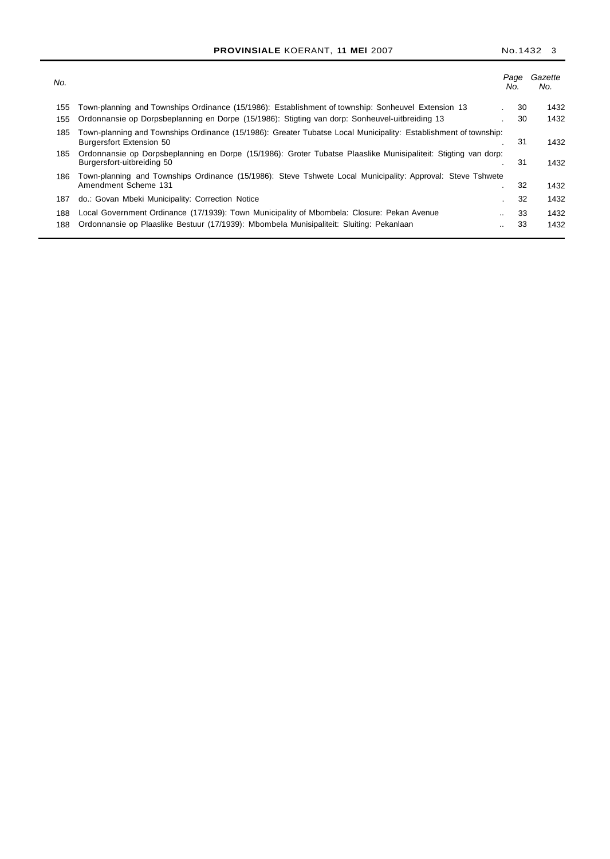| No. |                                                                                                                                                    | Page<br>No.     | Gazette<br>No. |
|-----|----------------------------------------------------------------------------------------------------------------------------------------------------|-----------------|----------------|
| 155 | Town-planning and Townships Ordinance (15/1986): Establishment of township: Sonheuvel Extension 13                                                 | 30              | 1432           |
| 155 | Ordonnansie op Dorpsbeplanning en Dorpe (15/1986): Stigting van dorp: Sonheuvel-uitbreiding 13                                                     | 30              | 1432           |
| 185 | Town-planning and Townships Ordinance (15/1986): Greater Tubatse Local Municipality: Establishment of township:<br><b>Burgersfort Extension 50</b> | 31              | 1432           |
| 185 | Ordonnansie op Dorpsbeplanning en Dorpe (15/1986): Groter Tubatse Plaaslike Munisipaliteit: Stigting van dorp:<br>Burgersfort-uitbreiding 50       | 31              | 1432           |
| 186 | Town-planning and Townships Ordinance (15/1986): Steve Tshwete Local Municipality: Approval: Steve Tshwete                                         |                 |                |
|     | Amendment Scheme 131                                                                                                                               | 32              | 1432           |
| 187 | do.: Govan Mbeki Municipality: Correction Notice                                                                                                   | 32              | 1432           |
| 188 | Local Government Ordinance (17/1939): Town Municipality of Mbombela: Closure: Pekan Avenue                                                         | 33<br>$\cdot$ . | 1432           |
| 188 | Ordonnansie op Plaaslike Bestuur (17/1939): Mbombela Munisipaliteit: Sluiting: Pekanlaan                                                           | 33<br>          | 1432           |
|     |                                                                                                                                                    |                 |                |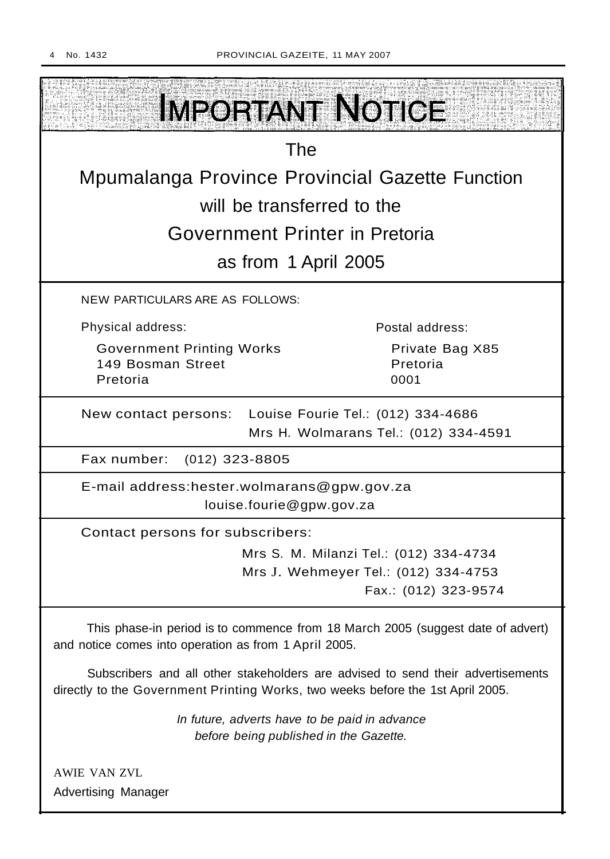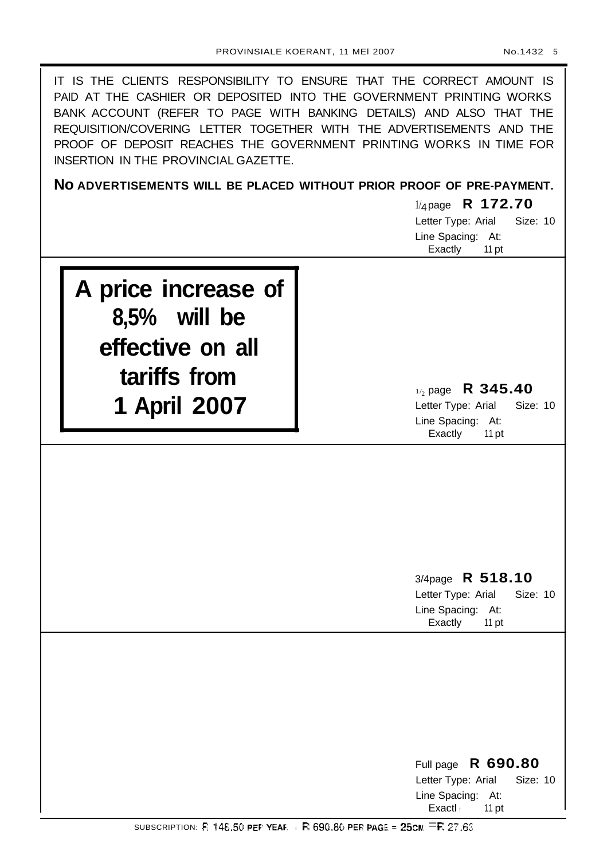| IT IS THE CLIENTS RESPONSIBILITY TO ENSURE THAT THE CORRECT AMOUNT IS<br>PAID AT THE CASHIER OR DEPOSITED INTO THE GOVERNMENT PRINTING WORKS<br>BANK ACCOUNT (REFER TO PAGE WITH BANKING DETAILS) AND ALSO THAT THE<br>REQUISITION/COVERING LETTER TOGETHER WITH THE ADVERTISEMENTS AND THE<br>PROOF OF DEPOSIT REACHES THE GOVERNMENT PRINTING WORKS IN TIME FOR<br>INSERTION IN THE PROVINCIAL GAZETTE. |                                                                                                   |  |  |
|-----------------------------------------------------------------------------------------------------------------------------------------------------------------------------------------------------------------------------------------------------------------------------------------------------------------------------------------------------------------------------------------------------------|---------------------------------------------------------------------------------------------------|--|--|
|                                                                                                                                                                                                                                                                                                                                                                                                           | NO ADVERTISEMENTS WILL BE PLACED WITHOUT PRIOR PROOF OF PRE-PAYMENT.                              |  |  |
|                                                                                                                                                                                                                                                                                                                                                                                                           | $1/4$ page R 172.70<br>Letter Type: Arial<br>Size: 10<br>Line Spacing: At:<br>Exactly<br>11 pt    |  |  |
| A price increase of<br>$8,5%$ will be<br>effective on all<br>tariffs from<br>1 April 2007                                                                                                                                                                                                                                                                                                                 | $_{1/2}$ page R 345.40<br>Size: 10<br>Letter Type: Arial<br>Line Spacing: At:<br>Exactly<br>11 pt |  |  |
|                                                                                                                                                                                                                                                                                                                                                                                                           | 3/4page R 518.10<br>Letter Type: Arial<br>Size: 10<br>Line Spacing: At:<br>Exactly<br>11 pt       |  |  |
|                                                                                                                                                                                                                                                                                                                                                                                                           | R 690.80<br>Full page<br>Size: 10<br>Letter Type: Arial<br>Line Spacing: At:<br>Exactl:<br>11 pt  |  |  |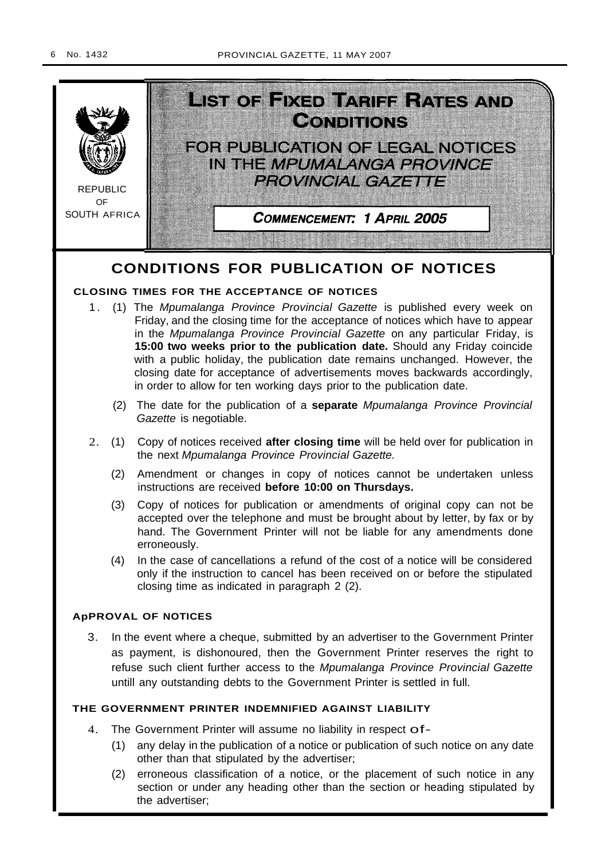

# **CONDITIONS FOR PUBLICATION OF NOTICES**

# **CLOSING TIMES FOR THE ACCEPTANCE OF NOTICES**

- 1. (1) The Mpumalanga Province Provincial Gazette is published every week on Friday, and the closing time for the acceptance of notices which have to appear in the Mpumalanga Province Provincial Gazette on any particular Friday, is **15:00 two weeks prior to the publication date.** Should any Friday coincide with a public holiday, the publication date remains unchanged. However, the closing date for acceptance of advertisements moves backwards accordingly, in order to allow for ten working days prior to the publication date.
	- (2) The date for the publication of a **separate** Mpumalanga Province Provincial Gazette is negotiable.
- 2. (1) Copy of notices received **after closing time** will be held over for publication in the next Mpumalanga Province Provincial Gazette.
	- (2) Amendment or changes in copy of notices cannot be undertaken unless instructions are received **before 10:00 on Thursdays.**
	- (3) Copy of notices for publication or amendments of original copy can not be accepted over the telephone and must be brought about by letter, by fax or by hand. The Government Printer will not be liable for any amendments done erroneously.
	- (4) In the case of cancellations a refund of the cost of a notice will be considered only if the instruction to cancel has been received on or before the stipulated closing time as indicated in paragraph 2 (2).

# **ApPROVAL OF NOTICES**

3. In the event where a cheque, submitted by an advertiser to the Government Printer as payment, is dishonoured, then the Government Printer reserves the right to refuse such client further access to the Mpumalanga Province Provincial Gazette untill any outstanding debts to the Government Printer is settled in full.

# **THE GOVERNMENT PRINTER INDEMNIFIED AGAINST LIABILITY**

- 4. The Government Printer will assume no liability in respect of-
	- (1) any delay in the publication of a notice or publication of such notice on any date other than that stipulated by the advertiser;
	- (2) erroneous classification of a notice, or the placement of such notice in any section or under any heading other than the section or heading stipulated by the advertiser;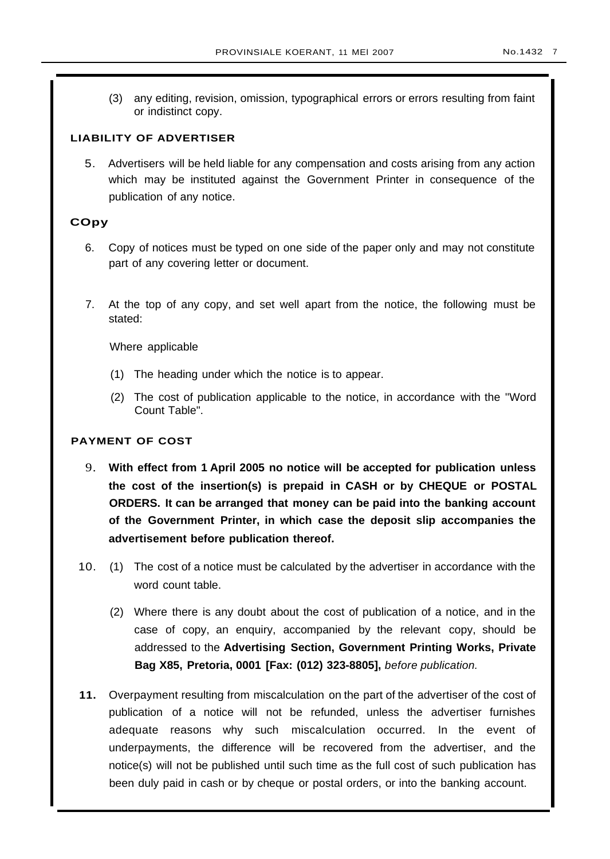- 
- (3) any editing, revision, omission, typographical errors or errors resulting from faint or indistinct copy.

# **LIABILITY OF ADVERTISER**

5. Advertisers will be held liable for any compensation and costs arising from any action which may be instituted against the Government Printer in consequence of the publication of any notice.

# **COpy**

- 6. Copy of notices must be typed on one side of the paper only and may not constitute part of any covering letter or document.
- 7. At the top of any copy, and set well apart from the notice, the following must be stated:

Where applicable

- (1) The heading under which the notice is to appear.
- (2) The cost of publication applicable to the notice, in accordance with the ''Word Count Table".

# **PAYMENT OF COST**

- 9. **With effect from 1 April 2005 no notice will be accepted for publication unless the cost of the insertion(s) is prepaid in CASH or by CHEQUE or POSTAL ORDERS. It can be arranged that money can be paid into the banking account of the Government Printer, in which case the deposit slip accompanies the advertisement before publication thereof.**
- 10. (1) The cost of a notice must be calculated by the advertiser in accordance with the word count table.
	- (2) Where there is any doubt about the cost of publication of a notice, and in the case of copy, an enquiry, accompanied by the relevant copy, should be addressed to the **Advertising Section, Government Printing Works, Private Bag X85, Pretoria, 0001 [Fax: (012) 323-8805],** before publication.
- **11.** Overpayment resulting from miscalculation on the part of the advertiser of the cost of publication of a notice will not be refunded, unless the advertiser furnishes adequate reasons why such miscalculation occurred. In the event of underpayments, the difference will be recovered from the advertiser, and the notice(s) will not be published until such time as the full cost of such publication has been duly paid in cash or by cheque or postal orders, or into the banking account.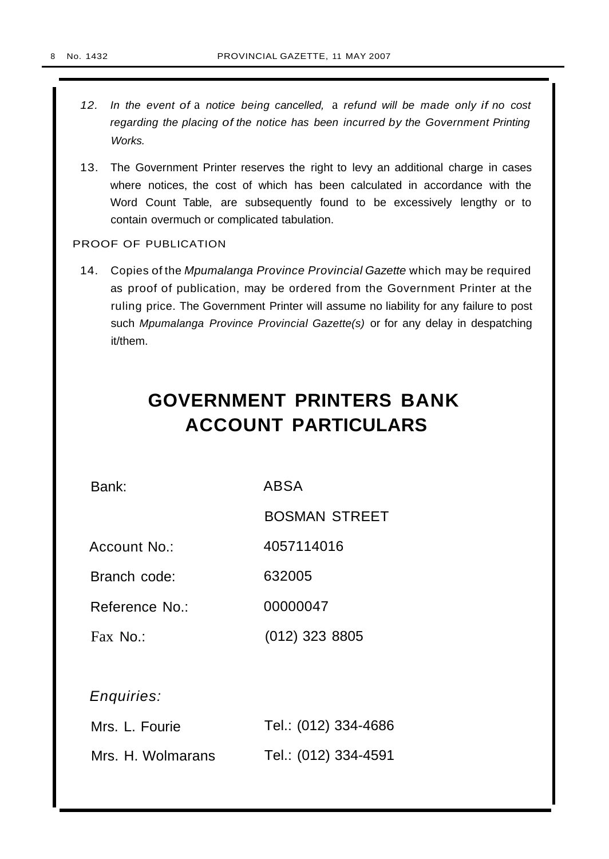- 12. In the event of a notice being cancelled, a refund will be made only if no cost regarding the placing of the notice has been incurred by the Government Printing Works.
- 13. The Government Printer reserves the right to levy an additional charge in cases where notices, the cost of which has been calculated in accordance with the Word Count Table, are subsequently found to be excessively lengthy or to contain overmuch or complicated tabulation.

# PROOF OF PUBLICATION

14. Copies of the Mpumalanga Province Provincial Gazette which may be required as proof of publication, may be ordered from the Government Printer at the ruling price. The Government Printer will assume no liability for any failure to post such Mpumalanga Province Provincial Gazette(s) or for any delay in despatching it/them.

# **GOVERNMENT PRINTERS BANK ACCOUNT PARTICULARS**

Bank:

ABSA

BOSMAN STREET

Account No.: 4057114016

Branch code: 632005

Reference No.: 00000047

Fax No.: (012) 323 8805

Enquiries:

| Mrs. L. Fourie    | Tel.: (012) 334-4686 |
|-------------------|----------------------|
| Mrs. H. Wolmarans | Tel.: (012) 334-4591 |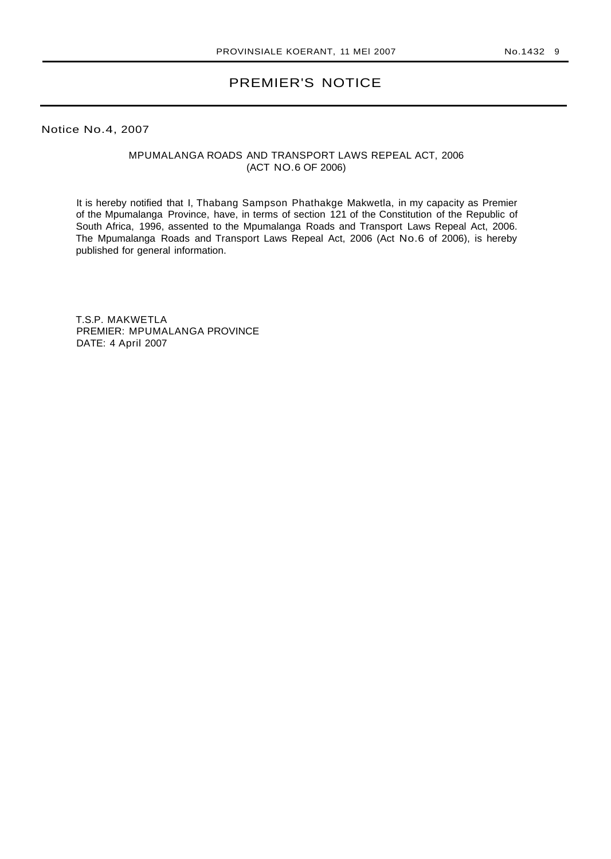# PREMIER'S NOTICE

Notice No.4, 2007

# MPUMALANGA ROADS AND TRANSPORT LAWS REPEAL ACT, 2006 (ACT NO.6 OF 2006)

It is hereby notified that I, Thabang Sampson Phathakge Makwetla, in my capacity as Premier of the Mpumalanga Province, have, in terms of section 121 of the Constitution of the Republic of South Africa, 1996, assented to the Mpumalanga Roads and Transport Laws Repeal Act, 2006. The Mpumalanga Roads and Transport Laws Repeal Act, 2006 (Act No.6 of 2006), is hereby published for general information.

T.S.P. MAKWETLA PREMIER: MPUMALANGA PROVINCE DATE: 4 April 2007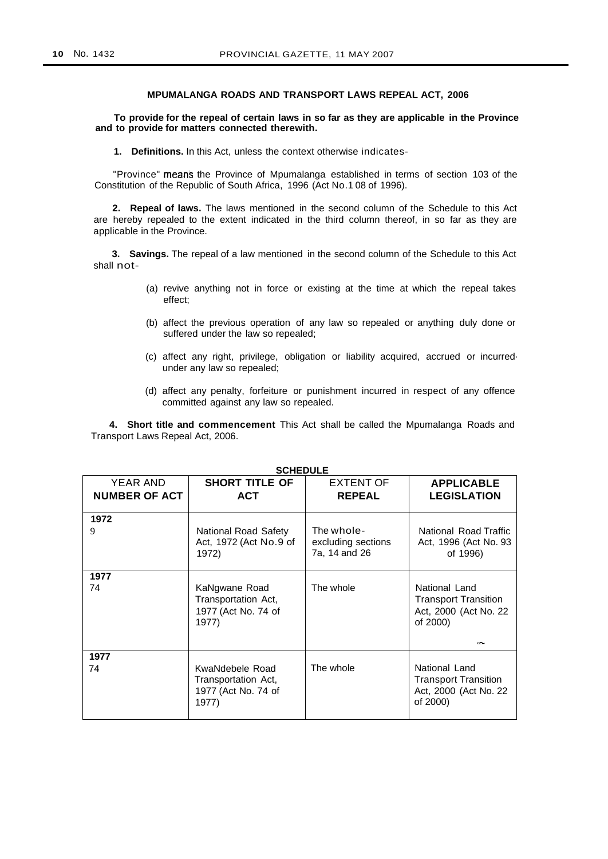#### **MPUMALANGA ROADS AND TRANSPORT LAWS REPEAL ACT, 2006**

#### **To provide for the repeal of certain laws in so far as they are applicable in the Province and to provide for matters connected therewith.**

**1. Definitions.** In this Act, unless the context otherwise indicates-

"Province" means the Province of Mpumalanga established in terms of section 103 of the Constitution of the Republic of South Africa, 1996 (Act No.1 08 of 1996).

**2. Repeal of laws.** The laws mentioned in the second column of the Schedule to this Act are hereby repealed to the extent indicated in the third column thereof, in so far as they are applicable in the Province.

**3. Savings.** The repeal of a law mentioned in the second column of the Schedule to this Act shall not-

- (a) revive anything not in force or existing at the time at which the repeal takes effect;
- (b) affect the previous operation of any law so repealed or anything duly done or suffered under the law so repealed;
- (c) affect any right, privilege, obligation or liability acquired, accrued or incurred· under any law so repealed;
- (d) affect any penalty, forfeiture or punishment incurred in respect of any offence committed against any law so repealed.

**4. Short title and commencement** This Act shall be called the Mpumalanga Roads and Transport Laws Repeal Act, 2006.

| YEAR AND<br><b>NUMBER OF ACT</b> | <b>SHORT TITLE OF</b><br><b>ACT</b>                                    | EXTENT OF<br><b>REPEAL</b>                        | <b>APPLICABLE</b><br><b>LEGISLATION</b>                                                                 |
|----------------------------------|------------------------------------------------------------------------|---------------------------------------------------|---------------------------------------------------------------------------------------------------------|
| 1972<br>9                        | National Road Safety<br>Act, 1972 (Act No.9 of<br>1972)                | The whole-<br>excluding sections<br>7a, 14 and 26 | National Road Traffic<br>Act, 1996 (Act No. 93<br>of 1996)                                              |
| 1977<br>74                       | KaNgwane Road<br>Transportation Act,<br>1977 (Act No. 74 of<br>1977)   | The whole                                         | National Land<br><b>Transport Transition</b><br>Act, 2000 (Act No. 22<br>of 2000)<br><b>COMPOSITION</b> |
| 1977<br>74                       | KwaNdebele Road<br>Transportation Act,<br>1977 (Act No. 74 of<br>1977) | The whole                                         | National Land<br><b>Transport Transition</b><br>Act, 2000 (Act No. 22)<br>of 2000)                      |

**SCHEDULE**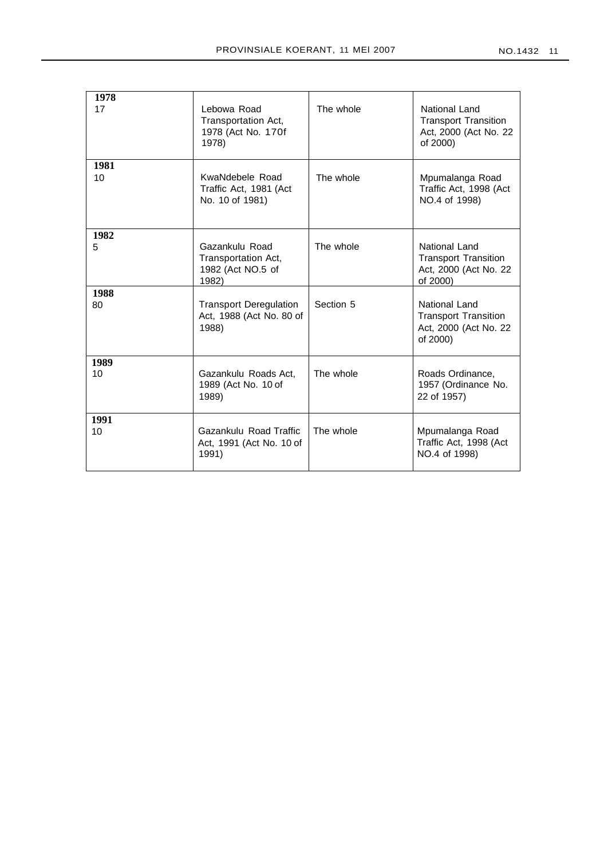| <b>NO.1432</b> | $1^{\prime}$ |
|----------------|--------------|
|                |              |

| 1978<br>17 | Lebowa Road<br>Transportation Act,<br>1978 (Act No. 170f<br>1978)   | The whole | National Land<br><b>Transport Transition</b><br>Act, 2000 (Act No. 22)<br>of 2000) |
|------------|---------------------------------------------------------------------|-----------|------------------------------------------------------------------------------------|
| 1981<br>10 | KwaNdebele Road<br>Traffic Act, 1981 (Act<br>No. 10 of 1981)        | The whole | Mpumalanga Road<br>Traffic Act, 1998 (Act<br>NO.4 of 1998)                         |
| 1982<br>5  | Gazankulu Road<br>Transportation Act,<br>1982 (Act NO.5 of<br>1982) | The whole | National Land<br><b>Transport Transition</b><br>Act, 2000 (Act No. 22)<br>of 2000) |
| 1988<br>80 | <b>Transport Deregulation</b><br>Act, 1988 (Act No. 80 of<br>1988)  | Section 5 | National Land<br><b>Transport Transition</b><br>Act, 2000 (Act No. 22<br>of 2000)  |
| 1989<br>10 | Gazankulu Roads Act,<br>1989 (Act No. 10 of<br>1989)                | The whole | Roads Ordinance,<br>1957 (Ordinance No.<br>22 of 1957)                             |
| 1991<br>10 | Gazankulu Road Traffic<br>Act, 1991 (Act No. 10 of<br>1991)         | The whole | Mpumalanga Road<br>Traffic Act, 1998 (Act<br>NO.4 of 1998)                         |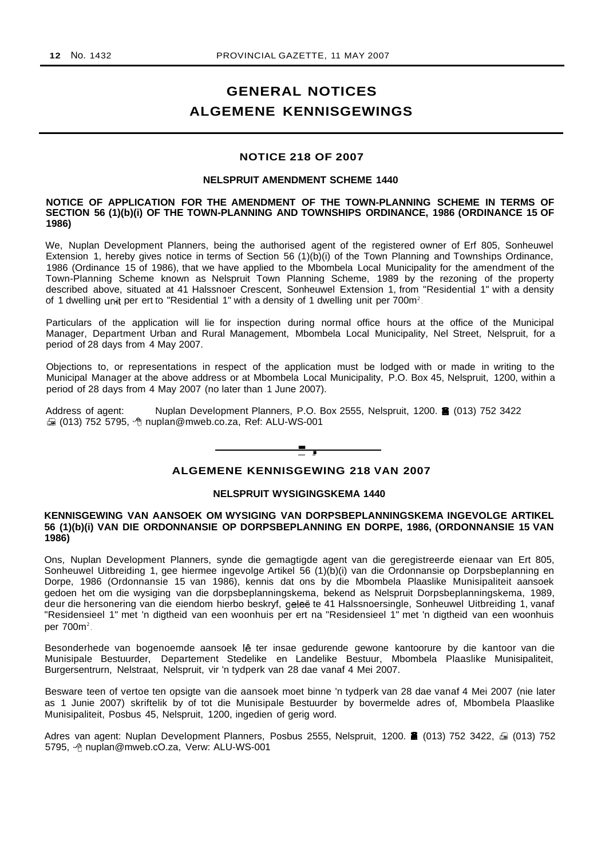# **GENERAL NOTICES ALGEMENE KENNISGEWINGS**

# **NOTICE 218 OF 2007**

#### **NELSPRUIT AMENDMENT SCHEME 1440**

### **NOTICE OF APPLICATION FOR THE AMENDMENT OF THE TOWN-PLANNING SCHEME IN TERMS OF SECTION 56 (1)(b)(i) OF THE TOWN-PLANNING AND TOWNSHIPS ORDINANCE, 1986 (ORDINANCE 15 OF 1986)**

We, Nuplan Development Planners, being the authorised agent of the registered owner of Erf 805, Sonheuwel Extension 1, hereby gives notice in terms of Section 56 (1)(b)(i) of the Town Planning and Townships Ordinance, 1986 (Ordinance 15 of 1986), that we have applied to the Mbombela Local Municipality for the amendment of the Town-Planning Scheme known as Nelspruit Town Planning Scheme, 1989 by the rezoning of the property described above, situated at 41 Halssnoer Crescent, Sonheuwel Extension 1, from "Residential 1" with a density of 1 dwelling unit per ert to "Residential 1" with a density of 1 dwelling unit per 700m<sup>2</sup>.

Particulars of the application will lie for inspection during normal office hours at the office of the Municipal Manager, Department Urban and Rural Management, Mbombela Local Municipality, Nel Street, Nelspruit, for a period of 28 days from 4 May 2007.

Objections to, or representations in respect of the application must be lodged with or made in writing to the Municipal Manager at the above address or at Mbombela Local Municipality, P.O. Box 45, Nelspruit, 1200, within a period of 28 days from 4 May 2007 (no later than 1 June 2007).

Address of agent: Nuplan Development Planners, P.O. Box 2555, Nelspruit, 1200. **8** (013) 752 3422 ta (013) 752 5795, <sup>4</sup> nuplan@mweb.co.za, Ref: ALU-WS-001



# **ALGEMENE KENNISGEWING 218 VAN 2007**

#### **NELSPRUIT WYSIGINGSKEMA 1440**

# **KENNISGEWING VAN AANSOEK OM WYSIGING VAN DORPSBEPLANNINGSKEMA INGEVOLGE ARTIKEL 56 (1)(b)(i) VAN DIE ORDONNANSIE OP DORPSBEPLANNING EN DORPE, 1986, (ORDONNANSIE 15 VAN 1986)**

Ons, Nuplan Development Planners, synde die gemagtigde agent van die geregistreerde eienaar van Ert 805, Sonheuwel Uitbreiding 1, gee hiermee ingevolge Artikel 56 (1)(b)(i) van die Ordonnansie op Dorpsbeplanning en Dorpe, 1986 (Ordonnansie 15 van 1986), kennis dat ons by die Mbombela Plaaslike Munisipaliteit aansoek gedoen het om die wysiging van die dorpsbeplanningskema, bekend as Nelspruit Dorpsbeplanningskema, 1989, deur die hersonering van die eiendom hierbo beskryf, geleë te 41 Halssnoersingle, Sonheuwel Uitbreiding 1, vanaf "Residensieel 1" met 'n digtheid van een woonhuis per ert na "Residensieel 1" met 'n digtheid van een woonhuis per 700m<sup>2</sup>.

Besonderhede van bogenoemde aansoek lê ter insae gedurende gewone kantoorure by die kantoor van die Munisipale Bestuurder, Departement Stedelike en Landelike Bestuur, Mbombela Plaaslike Munisipaliteit, Burgersentrurn, Nelstraat, Nelspruit, vir 'n tydperk van 28 dae vanaf 4 Mei 2007.

Besware teen of vertoe ten opsigte van die aansoek moet binne 'n tydperk van 28 dae vanaf 4 Mei 2007 (nie later as 1 Junie 2007) skriftelik by of tot die Munisipale Bestuurder by bovermelde adres of, Mbombela Plaaslike Munisipaliteit, Posbus 45, Nelspruit, 1200, ingedien of gerig word.

Adres van agent: Nuplan Development Planners, Posbus 2555, Nelspruit, 1200. ii (013) 752 3422,  $\oplus$  (013) 752 5795, <sup>h</sup> nuplan@mweb.cO.za, Verw: ALU-WS-001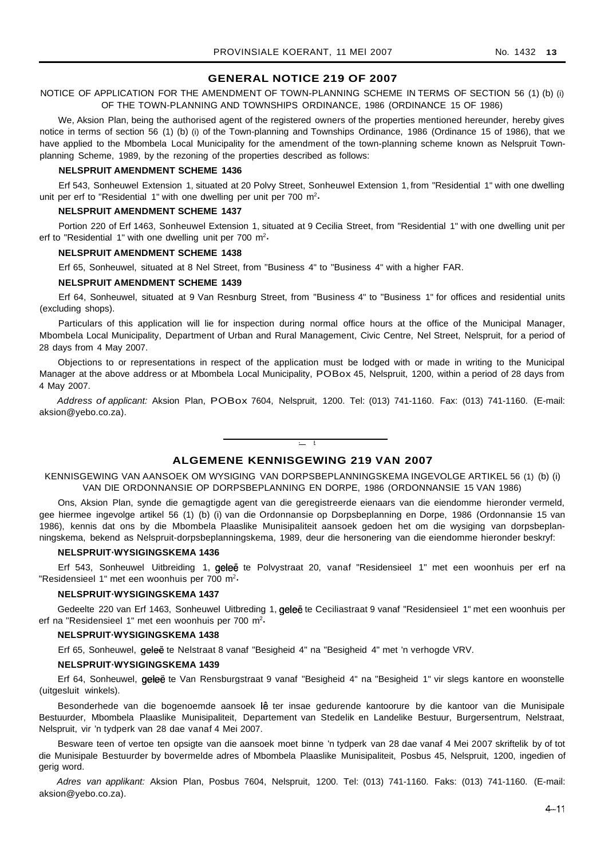# **GENERAL NOTICE 219 OF 2007**

NOTICE OF APPLICATION FOR THE AMENDMENT OF TOWN-PLANNING SCHEME IN TERMS OF SECTION 56 (1) (b) (i) OF THE TOWN-PLANNING AND TOWNSHIPS ORDINANCE, 1986 (ORDINANCE 15 OF 1986)

We, Aksion Plan, being the authorised agent of the registered owners of the properties mentioned hereunder, hereby gives notice in terms of section 56 (1) (b) (i) of the Town-planning and Townships Ordinance, 1986 (Ordinance 15 of 1986), that we have applied to the Mbombela Local Municipality for the amendment of the town-planning scheme known as Nelspruit Townplanning Scheme, 1989, by the rezoning of the properties described as follows:

#### **NELSPRUIT AMENDMENT SCHEME 1436**

Erf 543, Sonheuwel Extension 1, situated at 20 Polvy Street, Sonheuwel Extension 1, from "Residential 1" with one dwelling unit per erf to "Residential 1" with one dwelling per unit per 700 m<sup>2</sup>·

#### **NELSPRUIT AMENDMENT SCHEME 1437**

Portion 220 of Erf 1463, Sonheuwel Extension 1, situated at 9 Cecilia Street, from "Residential 1" with one dwelling unit per erf to "Residential 1" with one dwelling unit per 700 m<sup>2</sup>.

#### **NELSPRUIT AMENDMENT SCHEME 1438**

Erf 65, Sonheuwel, situated at 8 Nel Street, from "Business 4" to "Business 4" with a higher FAR.

#### **NELSPRUIT AMENDMENT SCHEME 1439**

Erf 64, Sonheuwel, situated at 9 Van Resnburg Street, from "Business 4" to "Business 1" for offices and residential units (excluding shops).

Particulars of this application will lie for inspection during normal office hours at the office of the Municipal Manager, Mbombela Local Municipality, Department of Urban and Rural Management, Civic Centre, Nel Street, Nelspruit, for a period of 28 days from 4 May 2007.

Objections to or representations in respect of the application must be lodged with or made in writing to the Municipal Manager at the above address or at Mbombela Local Municipality, POBox 45, Nelspruit, 1200, within a period of 28 days from 4 May 2007.

Address of applicant: Aksion Plan, POBox 7604, Nelspruit, 1200. Tel: (013) 741-1160. Fax: (013) 741-1160. (E-mail: aksion@yebo.co.za).

# **ALGEMENE KENNISGEWING 219 VAN 2007**

**- I**

KENNISGEWING VAN AANSOEK OM WYSIGING VAN DORPSBEPLANNINGSKEMA INGEVOLGE ARTIKEL 56 (1) (b) (i) VAN DIE ORDONNANSIE OP DORPSBEPLANNING EN DORPE, 1986 (ORDONNANSIE 15 VAN 1986)

Ons, Aksion Plan, synde die gemagtigde agent van die geregistreerde eienaars van die eiendomme hieronder vermeld, gee hiermee ingevolge artikel 56 (1) (b) (i) van die Ordonnansie op Dorpsbeplanning en Dorpe, 1986 (Ordonnansie 15 van 1986), kennis dat ons by die Mbombela Plaaslike Munisipaliteit aansoek gedoen het om die wysiging van dorpsbeplanningskema, bekend as Nelspruit-dorpsbeplanningskema, 1989, deur die hersonering van die eiendomme hieronder beskryf:

#### **NELSPRUIT·WYSIGINGSKEMA 1436**

Erf 543, Sonheuwel Uitbreiding 1, geleë te Polvystraat 20, vanaf "Residensieel 1" met een woonhuis per erf na "Residensieel 1" met een woonhuis per  $700 \text{ m}^2$ .

#### **NELSPRUIT·WYSIGINGSKEMA 1437**

Gedeelte 220 van Erf 1463, Sonheuwel Uitbreding 1, geleë te Ceciliastraat 9 vanaf "Residensieel 1" met een woonhuis per erf na "Residensieel 1" met een woonhuis per 700 m<sup>2</sup>.

#### **NELSPRUIT·WYSIGINGSKEMA 1438**

Erf 65, Sonheuwel, geleë te Nelstraat 8 vanaf "Besigheid 4" na "Besigheid 4" met 'n verhogde VRV.

#### **NELSPRUIT·WYSIGINGSKEMA 1439**

Erf 64, Sonheuwel, geleë te Van Rensburgstraat 9 vanaf "Besigheid 4" na "Besigheid 1" vir slegs kantore en woonstelle (uitgesluit winkels).

Besonderhede van die bogenoemde aansoek lê ter insae gedurende kantoorure by die kantoor van die Munisipale Bestuurder, Mbombela Plaaslike Munisipaliteit, Departement van Stedelik en Landelike Bestuur, Burgersentrum, Nelstraat, Nelspruit, vir 'n tydperk van 28 dae vanaf 4 Mei 2007.

Besware teen of vertoe ten opsigte van die aansoek moet binne 'n tydperk van 28 dae vanaf 4 Mei 2007 skriftelik by of tot die Munisipale Bestuurder by bovermelde adres of Mbombela Plaaslike Munisipaliteit, Posbus 45, Nelspruit, 1200, ingedien of gerig word.

Adres van applikant: Aksion Plan, Posbus 7604, Nelspruit, 1200. Tel: (013) 741-1160. Faks: (013) 741-1160. (E-mail: aksion@yebo.co.za).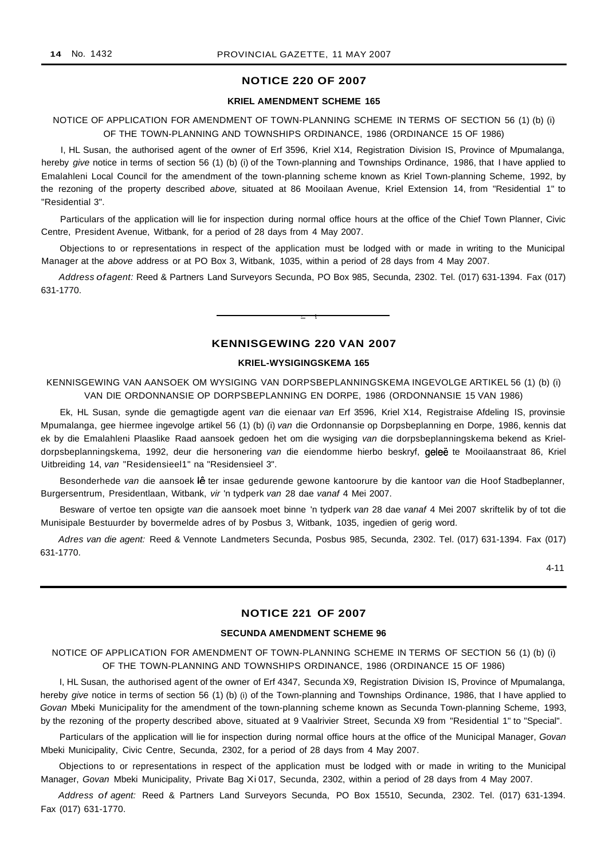# **NOTICE 220 OF 2007**

# **KRIEL AMENDMENT SCHEME 165**

# NOTICE OF APPLICATION FOR AMENDMENT OF TOWN-PLANNING SCHEME IN TERMS OF SECTION 56 (1) (b) (i) OF THE TOWN-PLANNING AND TOWNSHIPS ORDINANCE, 1986 (ORDINANCE 15 OF 1986)

I, HL Susan, the authorised agent of the owner of Erf 3596, Kriel X14, Registration Division IS, Province of Mpumalanga, hereby give notice in terms of section 56 (1) (b) (i) of the Town-planning and Townships Ordinance, 1986, that I have applied to Emalahleni Local Council for the amendment of the town-planning scheme known as Kriel Town-planning Scheme, 1992, by the rezoning of the property described above, situated at 86 Mooilaan Avenue, Kriel Extension 14, from "Residential 1" to "Residential 3".

Particulars of the application will lie for inspection during normal office hours at the office of the Chief Town Planner, Civic Centre, President Avenue, Witbank, for a period of 28 days from 4 May 2007.

Objections to or representations in respect of the application must be lodged with or made in writing to the Municipal Manager at the above address or at PO Box 3, Witbank, 1035, within a period of 28 days from 4 May 2007.

Address ofagent: Reed & Partners Land Surveyors Secunda, PO Box 985, Secunda, 2302. Tel. (017) 631-1394. Fax (017) 631-1770.

# **KENNISGEWING 220 VAN 2007**

**• I**

### **KRIEL-WYSIGINGSKEMA 165**

KENNISGEWING VAN AANSOEK OM WYSIGING VAN DORPSBEPLANNINGSKEMA INGEVOLGE ARTIKEL 56 (1) (b) (i) VAN DIE ORDONNANSIE OP DORPSBEPLANNING EN DORPE, 1986 (ORDONNANSIE 15 VAN 1986)

Ek, HL Susan, synde die gemagtigde agent van die eienaar van Erf 3596, Kriel X14, Registraise Afdeling IS, provinsie Mpumalanga, gee hiermee ingevolge artikel 56 (1) (b) (i) van die Ordonnansie op Dorpsbeplanning en Dorpe, 1986, kennis dat ek by die Emalahleni Plaaslike Raad aansoek gedoen het om die wysiging van die dorpsbeplanningskema bekend as Krieldorpsbeplanningskema, 1992, deur die hersonering van die eiendomme hierbo beskryf, geleë te Mooilaanstraat 86, Kriel Uitbreiding 14, van "Residensieel1" na "Residensieel 3".

Besonderhede van die aansoek lê ter insae gedurende gewone kantoorure by die kantoor van die Hoof Stadbeplanner, Burgersentrum, Presidentlaan, Witbank, vir 'n tydperk van 28 dae vanaf 4 Mei 2007.

Besware of vertoe ten opsigte van die aansoek moet binne 'n tydperk van 28 dae vanaf 4 Mei 2007 skriftelik by of tot die Munisipale Bestuurder by bovermelde adres of by Posbus 3, Witbank, 1035, ingedien of gerig word.

Adres van die agent: Reed & Vennote Landmeters Secunda, Posbus 985, Secunda, 2302. Tel. (017) 631-1394. Fax (017) 631-1770.

4-11

# **NOTICE 221 OF 2007**

#### **SECUNDA AMENDMENT SCHEME 96**

NOTICE OF APPLICATION FOR AMENDMENT OF TOWN-PLANNING SCHEME IN TERMS OF SECTION 56 (1) (b) (i) OF THE TOWN-PLANNING AND TOWNSHIPS ORDINANCE, 1986 (ORDINANCE 15 OF 1986)

I, HL Susan, the authorised agent of the owner of Erf 4347, Secunda X9, Registration Division IS, Province of Mpumalanga, hereby give notice in terms of section 56 (1) (b) (i) of the Town-planning and Townships Ordinance, 1986, that I have applied to Govan Mbeki Municipality for the amendment of the town-planning scheme known as Secunda Town-planning Scheme, 1993, by the rezoning of the property described above, situated at 9 Vaalrivier Street, Secunda X9 from "Residential 1" to "Special".

Particulars of the application will lie for inspection during normal office hours at the office of the Municipal Manager, Govan Mbeki Municipality, Civic Centre, Secunda, 2302, for a period of 28 days from 4 May 2007.

Objections to or representations in respect of the application must be lodged with or made in writing to the Municipal Manager, Govan Mbeki Municipality, Private Bag Xi 017, Secunda, 2302, within a period of 28 days from 4 May 2007.

Address of agent: Reed & Partners Land Surveyors Secunda, PO Box 15510, Secunda, 2302. Tel. (017) 631-1394. Fax (017) 631-1770.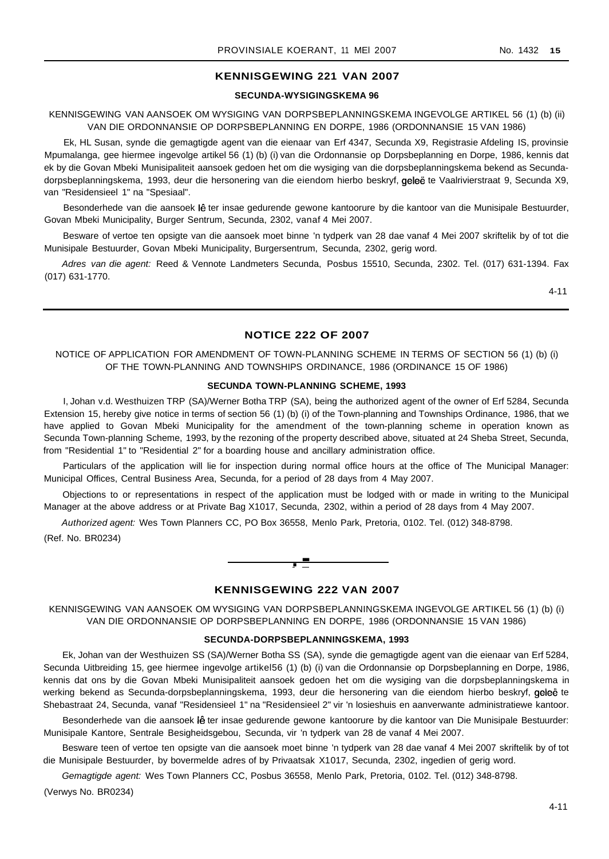# **KENNISGEWING 221 VAN 2007**

### **SECUNDA-WYSIGINGSKEMA 96**

### KENNISGEWING VAN AANSOEK OM WYSIGING VAN DORPSBEPLANNINGSKEMA INGEVOLGE ARTIKEL 56 (1) (b) (ii) VAN DIE ORDONNANSIE OP DORPSBEPLANNING EN DORPE, 1986 (ORDONNANSIE 15 VAN 1986)

Ek, HL Susan, synde die gemagtigde agent van die eienaar van Erf 4347, Secunda X9, Registrasie Afdeling IS, provinsie Mpumalanga, gee hiermee ingevolge artikel 56 (1) (b) (i) van die Ordonnansie op Dorpsbeplanning en Dorpe, 1986, kennis dat ek by die Govan Mbeki Munisipaliteit aansoek gedoen het om die wysiging van die dorpsbeplanningskema bekend as Secundadorpsbeplanningskema, 1993, deur die hersonering van die eiendom hierbo beskryf, geleë te Vaalrivierstraat 9, Secunda X9, van "Residensieel 1" na "Spesiaal".

Besonderhede van die aansoek lê ter insae gedurende gewone kantoorure by die kantoor van die Munisipale Bestuurder, Govan Mbeki Municipality, Burger Sentrum, Secunda, 2302, vanaf 4 Mei 2007.

Besware of vertoe ten opsigte van die aansoek moet binne 'n tydperk van 28 dae vanaf 4 Mei 2007 skriftelik by of tot die Munisipale Bestuurder, Govan Mbeki Municipality, Burgersentrum, Secunda, 2302, gerig word.

Adres van die agent: Reed & Vennote Landmeters Secunda, Posbus 15510, Secunda, 2302. Tel. (017) 631-1394. Fax (017) 631-1770.

4-11

### **NOTICE 222 OF 2007**

# NOTICE OF APPLICATION FOR AMENDMENT OF TOWN-PLANNING SCHEME IN TERMS OF SECTION 56 (1) (b) (i) OF THE TOWN-PLANNING AND TOWNSHIPS ORDINANCE, 1986 (ORDINANCE 15 OF 1986)

#### **SECUNDA TOWN-PLANNING SCHEME, 1993**

I, Johan v.d. Westhuizen TRP (SA)/Werner Botha TRP (SA), being the authorized agent of the owner of Erf 5284, Secunda Extension 15, hereby give notice in terms of section 56 (1) (b) (i) of the Town-planning and Townships Ordinance, 1986, that we have applied to Govan Mbeki Municipality for the amendment of the town-planning scheme in operation known as Secunda Town-planning Scheme, 1993, by the rezoning of the property described above, situated at 24 Sheba Street, Secunda, from "Residential 1" to "Residential 2" for a boarding house and ancillary administration office.

Particulars of the application will lie for inspection during normal office hours at the office of The Municipal Manager: Municipal Offices, Central Business Area, Secunda, for a period of 28 days from 4 May 2007.

Objections to or representations in respect of the application must be lodged with or made in writing to the Municipal Manager at the above address or at Private Bag X1017, Secunda, 2302, within a period of 28 days from 4 May 2007.

Authorized agent: Wes Town Planners CC, PO Box 36558, Menlo Park, Pretoria, 0102. Tel. (012) 348-8798. (Ref. No. BR0234)



# **KENNISGEWING 222 VAN 2007**

KENNISGEWING VAN AANSOEK OM WYSIGING VAN DORPSBEPLANNINGSKEMA INGEVOLGE ARTIKEL 56 (1) (b) (i) VAN DIE ORDONNANSIE OP DORPSBEPLANNING EN DORPE, 1986 (ORDONNANSIE 15 VAN 1986)

#### **SECUNDA-DORPSBEPLANNINGSKEMA, 1993**

Ek, Johan van der Westhuizen SS (SA)/Werner Botha SS (SA), synde die gemagtigde agent van die eienaar van Erf 5284, Secunda Uitbreiding 15, gee hiermee ingevolge artikel56 (1) (b) (i) van die Ordonnansie op Dorpsbeplanning en Dorpe, 1986, kennis dat ons by die Govan Mbeki Munisipaliteit aansoek gedoen het om die wysiging van die dorpsbeplanningskema in werking bekend as Secunda-dorpsbeplanningskema, 1993, deur die hersonering van die eiendom hierbo beskryf, geleë te Shebastraat 24, Secunda, vanaf "Residensieel 1" na "Residensieel 2" vir 'n losieshuis en aanverwante administratiewe kantoor.

Besonderhede van die aansoek lê ter insae gedurende gewone kantoorure by die kantoor van Die Munisipale Bestuurder: Munisipale Kantore, Sentrale Besigheidsgebou, Secunda, vir 'n tydperk van 28 de vanaf 4 Mei 2007.

Besware teen of vertoe ten opsigte van die aansoek moet binne 'n tydperk van 28 dae vanaf 4 Mei 2007 skriftelik by of tot die Munisipale Bestuurder, by bovermelde adres of by Privaatsak X1017, Secunda, 2302, ingedien of gerig word.

Gemagtigde agent: Wes Town Planners CC, Posbus 36558, Menlo Park, Pretoria, 0102. Tel. (012) 348-8798.

(Verwys No. BR0234)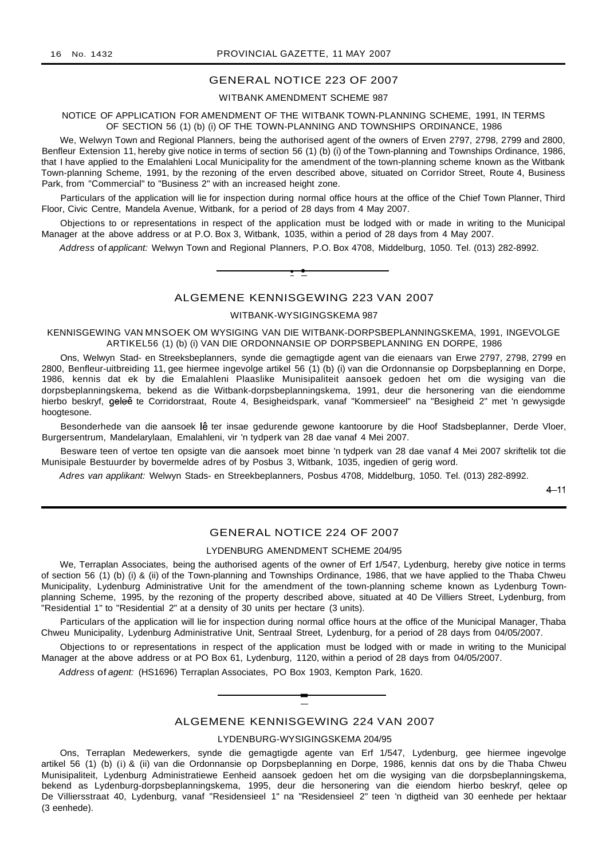# GENERAL NOTICE 223 OF 2007

# WITBANK AMENDMENT SCHEME 987

#### NOTICE OF APPLICATION FOR AMENDMENT OF THE WITBANK TOWN-PLANNING SCHEME, 1991, IN TERMS OF SECTION 56 (1) (b) (i) OF THE TOWN-PLANNING AND TOWNSHIPS ORDINANCE, 1986

We, Welwyn Town and Regional Planners, being the authorised agent of the owners of Erven 2797, 2798, 2799 and 2800, Benfleur Extension 11, hereby give notice in terms of section 56 (1) (b) (i) of the Town-planning and Townships Ordinance, 1986, that I have applied to the Emalahleni Local Municipality for the amendment of the town-planning scheme known as the Witbank Town-planning Scheme, 1991, by the rezoning of the erven described above, situated on Corridor Street, Route 4, Business Park, from "Commercial" to "Business 2" with an increased height zone.

Particulars of the application will lie for inspection during normal office hours at the office of the Chief Town Planner, Third Floor, Civic Centre, Mandela Avenue, Witbank, for a period of 28 days from 4 May 2007.

Objections to or representations in respect of the application must be lodged with or made in writing to the Municipal Manager at the above address or at P.O. Box 3, Witbank, 1035, within a period of 28 days from 4 May 2007.

Address of applicant: Welwyn Town and Regional Planners, P.O. Box 4708, Middelburg, 1050. Tel. (013) 282-8992.



# ALGEMENE KENNISGEWING 223 VAN 2007

# WITBANK-WYSIGINGSKEMA 987

#### KENNISGEWING VAN MNSOEK OM WYSIGING VAN DIE WITBANK-DORPSBEPLANNINGSKEMA, 1991, INGEVOLGE ARTIKEL56 (1) (b) (i) VAN DIE ORDONNANSIE OP DORPSBEPLANNING EN DORPE, 1986

Ons, Welwyn Stad- en Streeksbeplanners, synde die gemagtigde agent van die eienaars van Erwe 2797, 2798, 2799 en 2800, Benfleur-uitbreiding 11, gee hiermee ingevolge artikel 56 (1) (b) (i) van die Ordonnansie op Dorpsbeplanning en Dorpe, 1986, kennis dat ek by die Emalahleni Plaaslike Munisipaliteit aansoek gedoen het om die wysiging van die dorpsbeplanningskema, bekend as die Witbank-dorpsbeplanningskema, 1991, deur die hersonering van die eiendomme hierbo beskryf, geleë te Corridorstraat, Route 4, Besigheidspark, vanaf "Kommersieel" na "Besigheid 2" met 'n gewysigde hoogtesone.

Besonderhede van die aansoek lê ter insae gedurende gewone kantoorure by die Hoof Stadsbeplanner, Derde Vloer, Burgersentrum, Mandelarylaan, Emalahleni, vir 'n tydperk van 28 dae vanaf 4 Mei 2007.

Besware teen of vertoe ten opsigte van die aansoek moet binne 'n tydperk van 28 dae vanaf 4 Mei 2007 skriftelik tot die Munisipale Bestuurder by bovermelde adres of by Posbus 3, Witbank, 1035, ingedien of gerig word.

Adres van applikant: Welwyn Stads- en Streekbeplanners, Posbus 4708, Middelburg, 1050. Tel. (013) 282-8992.

 $4 - 11$ 

# GENERAL NOTICE 224 OF 2007

#### LYDENBURG AMENDMENT SCHEME 204/95

We, Terraplan Associates, being the authorised agents of the owner of Erf 1/547, Lydenburg, hereby give notice in terms of section 56 (1) (b) (i) & (ii) of the Town-planning and Townships Ordinance, 1986, that we have applied to the Thaba Chweu Municipality, Lydenburg Administrative Unit for the amendment of the town-planning scheme known as Lydenburg Townplanning Scheme, 1995, by the rezoning of the property described above, situated at 40 De Villiers Street, Lydenburg, from "Residential 1" to "Residential 2" at a density of 30 units per hectare (3 units).

Particulars of the application will lie for inspection during normal office hours at the office of the Municipal Manager, Thaba Chweu Municipality, Lydenburg Administrative Unit, Sentraal Street, Lydenburg, for a period of 28 days from 04/05/2007.

Objections to or representations in respect of the application must be lodged with or made in writing to the Municipal Manager at the above address or at PO Box 61, Lydenburg, 1120, within a period of 28 days from 04/05/2007.

Address of agent: (HS1696) Terraplan Associates, PO Box 1903, Kempton Park, 1620.

### ALGEMENE KENNISGEWING 224 VAN 2007

**-**

# LYDENBURG-WYSIGINGSKEMA 204/95

Ons, Terraplan Medewerkers, synde die gemagtigde agente van Erf 1/547, Lydenburg, gee hiermee ingevolge artikel 56 (1) (b) (i) & (ii) van die Ordonnansie op Dorpsbeplanning en Dorpe, 1986, kennis dat ons by die Thaba Chweu Munisipaliteit, Lydenburg Administratiewe Eenheid aansoek gedoen het om die wysiging van die dorpsbeplanningskema, bekend as Lydenburg-dorpsbeplanningskema, 1995, deur die hersonering van die eiendom hierbo beskryf, qelee op De Villiersstraat 40, Lydenburg, vanaf "Residensieel 1" na "Residensieel 2" teen 'n digtheid van 30 eenhede per hektaar (3 eenhede).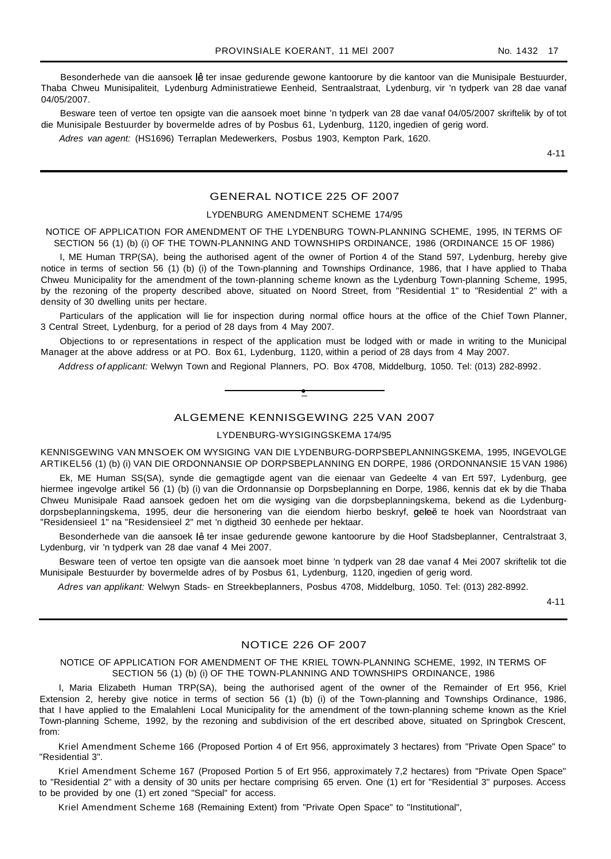Besonderhede van die aansoek lê ter insae gedurende gewone kantoorure by die kantoor van die Munisipale Bestuurder, Thaba Chweu Munisipaliteit, Lydenburg Administratiewe Eenheid, Sentraalstraat, Lydenburg, vir 'n tydperk van 28 dae vanaf 04/05/2007.

Besware teen of vertoe ten opsigte van die aansoek moet binne 'n tydperk van 28 dae vanaf 04/05/2007 skriftelik by of tot die Munisipale Bestuurder by bovermelde adres of by Posbus 61, Lydenburg, 1120, ingedien of gerig word.

Adres van agent: (HS1696) Terraplan Medewerkers, Posbus 1903, Kempton Park, 1620.

4-11

# GENERAL NOTICE 225 OF 2007

#### LYDENBURG AMENDMENT SCHEME 174/95

NOTICE OF APPLICATION FOR AMENDMENT OF THE LYDENBURG TOWN-PLANNING SCHEME, 1995, IN TERMS OF SECTION 56 (1) (b) (i) OF THE TOWN-PLANNING AND TOWNSHIPS ORDINANCE, 1986 (ORDINANCE 15 OF 1986)

I, ME Human TRP(SA), being the authorised agent of the owner of Portion 4 of the Stand 597, Lydenburg, hereby give notice in terms of section 56 (1) (b) (i) of the Town-planning and Townships Ordinance, 1986, that I have applied to Thaba Chweu Municipality for the amendment of the town-planning scheme known as the Lydenburg Town-planning Scheme, 1995, by the rezoning of the property described above, situated on Noord Street, from "Residential 1" to "Residential 2" with a density of 30 dwelling units per hectare.

Particulars of the application will lie for inspection during normal office hours at the office of the Chief Town Planner, 3 Central Street, Lydenburg, for a period of 28 days from 4 May 2007.

Objections to or representations in respect of the application must be lodged with or made in writing to the Municipal Manager at the above address or at PO. Box 61, Lydenburg, 1120, within a period of 28 days from 4 May 2007.

Address of applicant: Welwyn Town and Regional Planners, PO. Box 4708, Middelburg, 1050. Tel: (013) 282-8992.

### ALGEMENE KENNISGEWING 225 VAN 2007

**•**

LYDENBURG-WYSIGINGSKEMA 174/95

KENNISGEWING VAN MNSOEK OM WYSIGING VAN DIE LYDENBURG-DORPSBEPLANNINGSKEMA, 1995, INGEVOLGE ARTIKEL56 (1) (b) (i) VAN DIE ORDONNANSIE OP DORPSBEPLANNING EN DORPE, 1986 (ORDONNANSIE 15 VAN 1986)

Ek, ME Human SS(SA), synde die gemagtigde agent van die eienaar van Gedeelte 4 van Ert 597, Lydenburg, gee hiermee ingevolge artikel 56 (1) (b) (i) van die Ordonnansie op Dorpsbeplanning en Dorpe, 1986, kennis dat ek by die Thaba Chweu Munisipale Raad aansoek gedoen het om die wysiging van die dorpsbeplanningskema, bekend as die Lydenburgdorpsbeplanningskema, 1995, deur die hersonering van die eiendom hierbo beskryf, geleë te hoek van Noordstraat van "Residensieel 1" na "Residensieel 2" met 'n digtheid 30 eenhede per hektaar.

Besonderhede van die aansoek lê ter insae gedurende gewone kantoorure by die Hoof Stadsbeplanner, Centralstraat 3, Lydenburg, vir 'n tydperk van 28 dae vanaf 4 Mei 2007.

Besware teen of vertoe ten opsigte van die aansoek moet binne 'n tydperk van 28 dae vanaf 4 Mei 2007 skriftelik tot die Munisipale Bestuurder by bovermelde adres of by Posbus 61, Lydenburg, 1120, ingedien of gerig word.

Adres van applikant: Welwyn Stads- en Streekbeplanners, Posbus 4708, Middelburg, 1050. Tel: (013) 282-8992.

4-11

# NOTICE 226 OF 2007

NOTICE OF APPLICATION FOR AMENDMENT OF THE KRIEL TOWN-PLANNING SCHEME, 1992, IN TERMS OF SECTION 56 (1) (b) (i) OF THE TOWN-PLANNING AND TOWNSHIPS ORDINANCE, 1986

I, Maria Elizabeth Human TRP(SA), being the authorised agent of the owner of the Remainder of Ert 956, Kriel Extension 2, hereby give notice in terms of section 56 (1) (b) (i) of the Town-planning and Townships Ordinance, 1986, that I have applied to the Emalahleni Local Municipality for the amendment of the town-planning scheme known as the Kriel Town-planning Scheme, 1992, by the rezoning and subdivision of the ert described above, situated on Springbok Crescent, from:

Kriel Amendment Scheme 166 (Proposed Portion 4 of Ert 956, approximately 3 hectares) from "Private Open Space" to "Residential 3".

Kriel Amendment Scheme 167 (Proposed Portion 5 of Ert 956, approximately 7,2 hectares) from "Private Open Space" to "Residential 2" with a density of 30 units per hectare comprising 65 erven. One (1) ert for "Residential 3" purposes. Access to be provided by one (1) ert zoned "Special" for access.

Kriel Amendment Scheme 168 (Remaining Extent) from "Private Open Space" to "Institutional",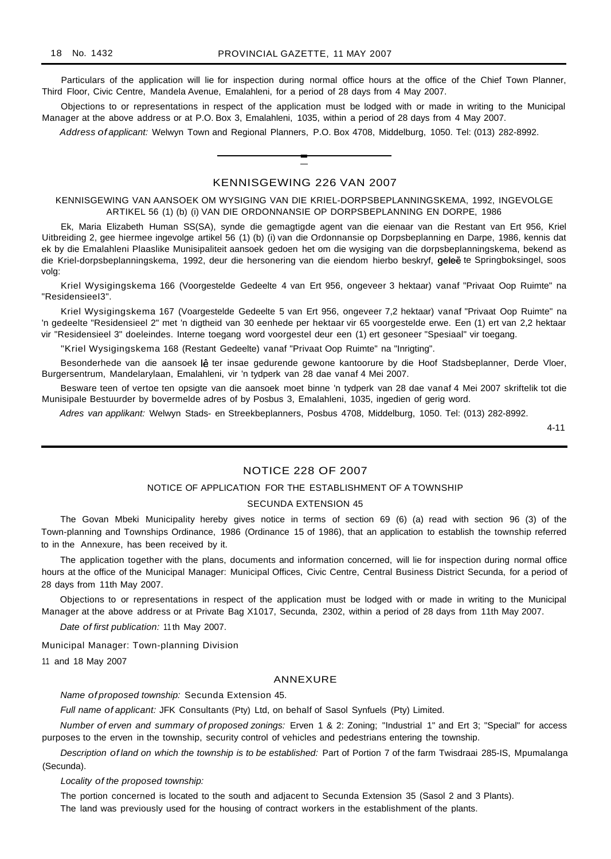Particulars of the application will lie for inspection during normal office hours at the office of the Chief Town Planner, Third Floor, Civic Centre, Mandela Avenue, Emalahleni, for a period of 28 days from 4 May 2007.

Objections to or representations in respect of the application must be lodged with or made in writing to the Municipal Manager at the above address or at P.O. Box 3, Emalahleni, 1035, within a period of 28 days from 4 May 2007.

Address of applicant: Welwyn Town and Regional Planners, P.O. Box 4708, Middelburg, 1050. Tel: (013) 282-8992.

# KENNISGEWING 226 VAN 2007

**-**

KENNISGEWING VAN AANSOEK OM WYSIGING VAN DIE KRIEL-DORPSBEPLANNINGSKEMA, 1992, INGEVOLGE ARTIKEL 56 (1) (b) (i) VAN DIE ORDONNANSIE OP DORPSBEPLANNING EN DORPE, 1986

Ek, Maria Elizabeth Human SS(SA), synde die gemagtigde agent van die eienaar van die Restant van Ert 956, Kriel Uitbreiding 2, gee hiermee ingevolge artikel 56 (1) (b) (i) van die Ordonnansie op Dorpsbeplanning en Darpe, 1986, kennis dat ek by die Emalahleni Plaaslike Munisipaliteit aansoek gedoen het om die wysiging van die dorpsbeplanningskema, bekend as die Kriel-dorpsbeplanningskema, 1992, deur die hersonering van die eiendom hierbo beskryf, geleë te Springboksingel, soos volg:

Kriel Wysigingskema 166 (Voorgestelde Gedeelte 4 van Ert 956, ongeveer 3 hektaar) vanaf "Privaat Oop Ruimte" na "ResidensieeI3".

Kriel Wysigingskema 167 (Voargestelde Gedeelte 5 van Ert 956, ongeveer 7,2 hektaar) vanaf "Privaat Oop Ruimte" na 'n gedeelte "Residensieel 2" met 'n digtheid van 30 eenhede per hektaar vir 65 voorgestelde erwe. Een (1) ert van 2,2 hektaar vir "Residensieel 3" doeleindes. Interne toegang word voorgestel deur een (1) ert gesoneer "Spesiaal" vir toegang.

"Kriel Wysigingskema 168 (Restant Gedeelte) vanaf "Privaat Oop Ruimte" na "Inrigting".

Besonderhede van die aansoek lê ter insae gedurende gewone kantoorure by die Hoof Stadsbeplanner, Derde Vloer, Burgersentrum, Mandelarylaan, Emalahleni, vir 'n tydperk van 28 dae vanaf 4 Mei 2007.

Besware teen of vertoe ten opsigte van die aansoek moet binne 'n tydperk van 28 dae vanaf 4 Mei 2007 skriftelik tot die Munisipale Bestuurder by bovermelde adres of by Posbus 3, Emalahleni, 1035, ingedien of gerig word.

Adres van applikant: Welwyn Stads- en Streekbeplanners, Posbus 4708, Middelburg, 1050. Tel: (013) 282-8992.

4-11

# NOTICE 228 OF 2007

#### NOTICE OF APPLICATION FOR THE ESTABLISHMENT OF A TOWNSHIP

#### SECUNDA EXTENSION 45

The Govan Mbeki Municipality hereby gives notice in terms of section 69 (6) (a) read with section 96 (3) of the Town-planning and Townships Ordinance, 1986 (Ordinance 15 of 1986), that an application to establish the township referred to in the Annexure, has been received by it.

The application together with the plans, documents and information concerned, will lie for inspection during normal office hours at the office of the Municipal Manager: Municipal Offices, Civic Centre, Central Business District Secunda, for a period of 28 days from 11th May 2007.

Objections to or representations in respect of the application must be lodged with or made in writing to the Municipal Manager at the above address or at Private Bag X1017, Secunda, 2302, within a period of 28 days from 11th May 2007.

Date of first publication: 11 th May 2007.

Municipal Manager: Town-planning Division

11 and 18 May 2007

#### ANNEXURE

Name of proposed township: Secunda Extension 45.

Full name of applicant: JFK Consultants (Pty) Ltd, on behalf of Sasol Synfuels (Pty) Limited.

Number of erven and summary of proposed zonings: Erven 1 & 2: Zoning; "Industrial 1" and Ert 3; "Special" for access purposes to the erven in the township, security control of vehicles and pedestrians entering the township.

Description of land on which the township is to be established: Part of Portion 7 of the farm Twisdraai 285-IS, Mpumalanga (Secunda).

Locality of the proposed township:

The portion concerned is located to the south and adjacent to Secunda Extension 35 (Sasol 2 and 3 Plants).

The land was previously used for the housing of contract workers in the establishment of the plants.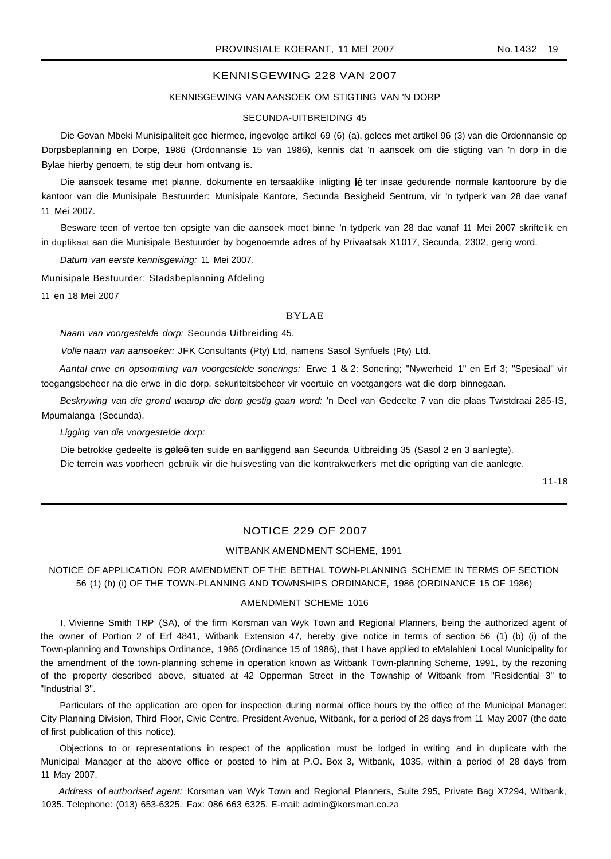# KENNISGEWING 228 VAN 2007

#### KENNISGEWING VAN AANSOEK OM STIGTING VAN 'N DORP

#### SECUNDA-UITBREIDING 45

Die Govan Mbeki Munisipaliteit gee hiermee, ingevolge artikel 69 (6) (a), gelees met artikel 96 (3) van die Ordonnansie op Dorpsbeplanning en Dorpe, 1986 (Ordonnansie 15 van 1986), kennis dat 'n aansoek om die stigting van 'n dorp in die Bylae hierby genoem, te stig deur hom ontvang is.

Die aansoek tesame met planne, dokumente en tersaaklike inligting lê ter insae gedurende normale kantoorure by die kantoor van die Munisipale Bestuurder: Munisipale Kantore, Secunda Besigheid Sentrum, vir 'n tydperk van 28 dae vanaf 11 Mei 2007.

Besware teen of vertoe ten opsigte van die aansoek moet binne 'n tydperk van 28 dae vanaf 11 Mei 2007 skriftelik en in duplikaat aan die Munisipale Bestuurder by bogenoemde adres of by Privaatsak X1017, Secunda, 2302, gerig word.

Datum van eerste kennisgewing: 11 Mei 2007.

Munisipale Bestuurder: Stadsbeplanning Afdeling

11 en 18 Mei 2007

#### BYLAE

Naam van voorgestelde dorp: Secunda Uitbreiding 45.

Volle naam van aansoeker: JFK Consultants (Pty) Ltd, namens Sasol Synfuels (Pty) Ltd.

Aantal erwe en opsomming van voorgestelde sonerings: Erwe 1 & 2: Sonering; "Nywerheid 1" en Erf 3; "Spesiaal" vir toegangsbeheer na die erwe in die dorp, sekuriteitsbeheer vir voertuie en voetgangers wat die dorp binnegaan.

Beskrywing van die grond waarop die dorp gestig gaan word: 'n Deel van Gedeelte 7 van die plaas Twistdraai 285-IS, Mpumalanga (Secunda).

Ligging van die voorgestelde dorp:

Die betrokke gedeelte is geleë ten suide en aanliggend aan Secunda Uitbreiding 35 (Sasol 2 en 3 aanlegte). Die terrein was voorheen gebruik vir die huisvesting van die kontrakwerkers met die oprigting van die aanlegte.

11-18

# NOTICE 229 OF 2007

#### WITBANK AMENDMENT SCHEME, 1991

NOTICE OF APPLICATION FOR AMENDMENT OF THE BETHAL TOWN-PLANNING SCHEME IN TERMS OF SECTION 56 (1) (b) (i) OF THE TOWN-PLANNING AND TOWNSHIPS ORDINANCE, 1986 (ORDINANCE 15 OF 1986)

#### AMENDMENT SCHEME 1016

I, Vivienne Smith TRP (SA), of the firm Korsman van Wyk Town and Regional Planners, being the authorized agent of the owner of Portion 2 of Erf 4841, Witbank Extension 47, hereby give notice in terms of section 56 (1) (b) (i) of the Town-planning and Townships Ordinance, 1986 (Ordinance 15 of 1986), that I have applied to eMalahleni Local Municipality for the amendment of the town-planning scheme in operation known as Witbank Town-planning Scheme, 1991, by the rezoning of the property described above, situated at 42 Opperman Street in the Township of Witbank from "Residential 3" to "Industrial 3".

Particulars of the application are open for inspection during normal office hours by the office of the Municipal Manager: City Planning Division, Third Floor, Civic Centre, President Avenue, Witbank, for a period of 28 days from 11 May 2007 (the date of first publication of this notice).

Objections to or representations in respect of the application must be lodged in writing and in duplicate with the Municipal Manager at the above office or posted to him at P.O. Box 3, Witbank, 1035, within a period of 28 days from 11 May 2007.

Address of authorised agent: Korsman van Wyk Town and Regional Planners, Suite 295, Private Bag X7294, Witbank, 1035. Telephone: (013) 653-6325. Fax: 086 663 6325. E-mail: admin@korsman.co.za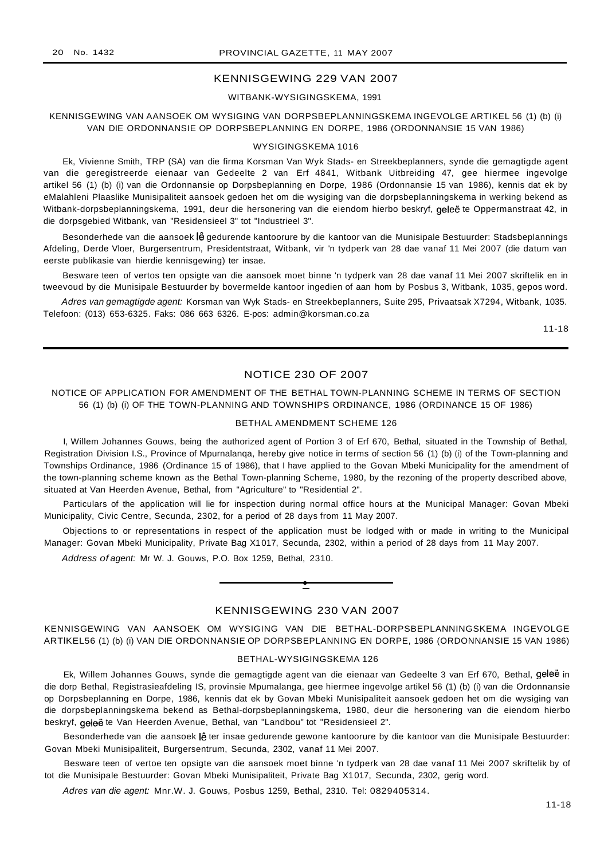### KENNISGEWING 229 VAN 2007

WITBANK-WYSIGINGSKEMA, 1991

# KENNISGEWING VAN AANSOEK OM WYSIGING VAN DORPSBEPLANNINGSKEMA INGEVOLGE ARTIKEL 56 (1) (b) (i) VAN DIE ORDONNANSIE OP DORPSBEPLANNING EN DORPE, 1986 (ORDONNANSIE 15 VAN 1986)

#### WYSIGINGSKEMA 1016

Ek, Vivienne Smith, TRP (SA) van die firma Korsman Van Wyk Stads- en Streekbeplanners, synde die gemagtigde agent van die geregistreerde eienaar van Gedeelte 2 van Erf 4841, Witbank Uitbreiding 47, gee hiermee ingevolge artikel 56 (1) (b) (i) van die Ordonnansie op Dorpsbeplanning en Dorpe, 1986 (Ordonnansie 15 van 1986), kennis dat ek by eMalahleni Plaaslike Munisipaliteit aansoek gedoen het om die wysiging van die dorpsbeplanningskema in werking bekend as Witbank-dorpsbeplanningskema, 1991, deur die hersonering van die eiendom hierbo beskryf, geleë te Oppermanstraat 42, in die dorpsgebied Witbank, van "Residensieel 3" tot "Industrieel 3".

Besonderhede van die aansoek lê gedurende kantoorure by die kantoor van die Munisipale Bestuurder: Stadsbeplannings Afdeling, Derde Vloer, Burgersentrum, Presidentstraat, Witbank, vir 'n tydperk van 28 dae vanaf 11 Mei 2007 (die datum van eerste publikasie van hierdie kennisgewing) ter insae.

Besware teen of vertos ten opsigte van die aansoek moet binne 'n tydperk van 28 dae vanaf 11 Mei 2007 skriftelik en in tweevoud by die Munisipale Bestuurder by bovermelde kantoor ingedien of aan hom by Posbus 3, Witbank, 1035, gepos word.

Adres van gemagtigde agent: Korsman van Wyk Stads- en Streekbeplanners, Suite 295, Privaatsak X7294, Witbank, 1035. Telefoon: (013) 653-6325. Faks: 086 663 6326. E-pos: admin@korsman.co.za

11-18

# NOTICE 230 OF 2007

NOTICE OF APPLICATION FOR AMENDMENT OF THE BETHAL TOWN-PLANNING SCHEME IN TERMS OF SECTION 56 (1) (b) (i) OF THE TOWN-PLANNING AND TOWNSHIPS ORDINANCE, 1986 (ORDINANCE 15 OF 1986)

#### BETHAL AMENDMENT SCHEME 126

I, Willem Johannes Gouws, being the authorized agent of Portion 3 of Erf 670, Bethal, situated in the Township of Bethal, Registration Division I.S., Province of Mpurnalanqa, hereby give notice in terms of section 56 (1) (b) (i) of the Town-planning and Townships Ordinance, 1986 (Ordinance 15 of 1986), that I have applied to the Govan Mbeki Municipality for the amendment of the town-planning scheme known as the Bethal Town-planning Scheme, 1980, by the rezoning of the property described above, situated at Van Heerden Avenue, Bethal, from "Agriculture" to "Residential 2".

Particulars of the application will lie for inspection during normal office hours at the Municipal Manager: Govan Mbeki Municipality, Civic Centre, Secunda, 2302, for a period of 28 days from 11 May 2007.

Objections to or representations in respect of the application must be lodged with or made in writing to the Municipal Manager: Govan Mbeki Municipality, Private Bag X1017, Secunda, 2302, within a period of 28 days from 11 May 2007.

Address of agent: Mr W. J. Gouws, P.O. Box 1259, Bethal, 2310.



**•**

KENNISGEWING VAN AANSOEK OM WYSIGING VAN DIE BETHAL-DORPSBEPLANNINGSKEMA INGEVOLGE ARTlKEL56 (1) (b) (i) VAN DIE ORDONNANSIE OP DORPSBEPLANNING EN DORPE, 1986 (ORDONNANSIE 15 VAN 1986)

#### BETHAL-WYSIGINGSKEMA 126

Ek, Willem Johannes Gouws, synde die gemagtigde agent van die eienaar van Gedeelte 3 van Erf 670, Bethal, geleë in die dorp Bethal, Registrasieafdeling IS, provinsie Mpumalanga, gee hiermee ingevolge artikel 56 (1) (b) (i) van die Ordonnansie op Dorpsbeplanning en Dorpe, 1986, kennis dat ek by Govan Mbeki Munisipaliteit aansoek gedoen het om die wysiging van die dorpsbeplanningskema bekend as Bethal-dorpsbeplanningskema, 1980, deur die hersonering van die eiendom hierbo beskryf, geleë te Van Heerden Avenue, Bethal, van "Landbou" tot "Residensieel 2".

Besonderhede van die aansoek lê ter insae gedurende gewone kantoorure by die kantoor van die Munisipale Bestuurder: Govan Mbeki Munisipaliteit, Burgersentrum, Secunda, 2302, vanaf 11 Mei 2007.

Besware teen of vertoe ten opsigte van die aansoek moet binne 'n tydperk van 28 dae vanaf 11 Mei 2007 skriftelik by of tot die Munisipale Bestuurder: Govan Mbeki Munisipaliteit, Private Bag X1017, Secunda, 2302, gerig word.

Adres van die agent: Mnr.W. J. Gouws, Posbus 1259, Bethal, 2310. Tel: 0829405314.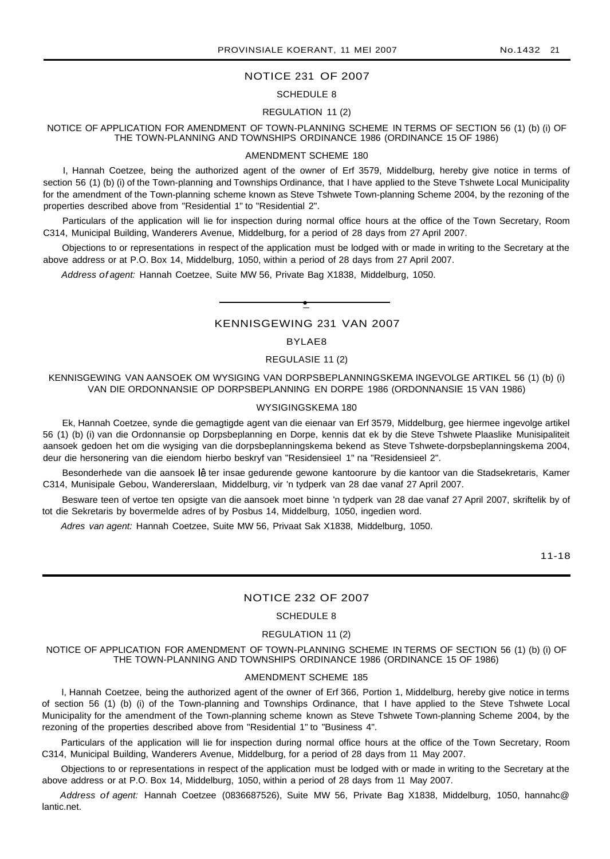# NOTICE 231 OF 2007

#### SCHEDULE 8

# REGULATION 11 (2)

#### NOTICE OF APPLICATION FOR AMENDMENT OF TOWN-PLANNING SCHEME IN TERMS OF SECTION 56 (1) (b) (i) OF THE TOWN-PLANNING AND TOWNSHIPS ORDINANCE 1986 (ORDINANCE 15 OF 1986)

#### AMENDMENT SCHEME 180

I, Hannah Coetzee, being the authorized agent of the owner of Erf 3579, Middelburg, hereby give notice in terms of section 56 (1) (b) (i) of the Town-planning and Townships Ordinance, that I have applied to the Steve Tshwete Local Municipality for the amendment of the Town-planning scheme known as Steve Tshwete Town-planning Scheme 2004, by the rezoning of the properties described above from "Residential 1" to "Residential 2".

Particulars of the application will lie for inspection during normal office hours at the office of the Town Secretary, Room C314, Municipal Building, Wanderers Avenue, Middelburg, for a period of 28 days from 27 April 2007.

Objections to or representations in respect of the application must be lodged with or made in writing to the Secretary at the above address or at P.O. Box 14, Middelburg, 1050, within a period of 28 days from 27 April 2007.

Address of agent: Hannah Coetzee, Suite MW 56, Private Bag X1838, Middelburg, 1050.

KENNISGEWING 231 VAN 2007

**•**

# BYLAE8

#### REGULASIE 11 (2)

KENNISGEWING VAN AANSOEK OM WYSIGING VAN DORPSBEPLANNINGSKEMA INGEVOLGE ARTIKEL 56 (1) (b) (i) VAN DIE ORDONNANSIE OP DORPSBEPLANNING EN DORPE 1986 (ORDONNANSIE 15 VAN 1986)

#### WYSIGINGSKEMA 180

Ek, Hannah Coetzee, synde die gemagtigde agent van die eienaar van Erf 3579, Middelburg, gee hiermee ingevolge artikel 56 (1) (b) (i) van die Ordonnansie op Dorpsbeplanning en Dorpe, kennis dat ek by die Steve Tshwete Plaaslike Munisipaliteit aansoek gedoen het om die wysiging van die dorpsbeplanningskema bekend as Steve Tshwete-dorpsbeplanningskema 2004, deur die hersonering van die eiendom hierbo beskryf van "Residensieel 1" na "Residensieel 2".

Besonderhede van die aansoek lê ter insae gedurende gewone kantoorure by die kantoor van die Stadsekretaris, Kamer C314, Munisipale Gebou, Wandererslaan, Middelburg, vir 'n tydperk van 28 dae vanaf 27 April 2007.

Besware teen of vertoe ten opsigte van die aansoek moet binne 'n tydperk van 28 dae vanaf 27 April 2007, skriftelik by of tot die Sekretaris by bovermelde adres of by Posbus 14, Middelburg, 1050, ingedien word.

Adres van agent: Hannah Coetzee, Suite MW 56, Privaat Sak X1838, Middelburg, 1050.

11-18

#### NOTICE 232 OF 2007

# SCHEDULE 8

# REGULATION 11 (2)

NOTICE OF APPLICATION FOR AMENDMENT OF TOWN-PLANNING SCHEME IN TERMS OF SECTION 56 (1) (b) (i) OF THE TOWN-PLANNING AND TOWNSHIPS ORDINANCE 1986 (ORDINANCE 15 OF 1986)

#### AMENDMENT SCHEME 185

I, Hannah Coetzee, being the authorized agent of the owner of Erf 366, Portion 1, Middelburg, hereby give notice in terms of section 56 (1) (b) (i) of the Town-planning and Townships Ordinance, that I have applied to the Steve Tshwete Local Municipality for the amendment of the Town-planning scheme known as Steve Tshwete Town-planning Scheme 2004, by the rezoning of the properties described above from "Residential 1" to "Business 4".

Particulars of the application will lie for inspection during normal office hours at the office of the Town Secretary, Room C314, Municipal Building, Wanderers Avenue, Middelburg, for a period of 28 days from 11 May 2007.

Objections to or representations in respect of the application must be lodged with or made in writing to the Secretary at the above address or at P.O. Box 14, Middelburg, 1050, within a period of 28 days from 11 May 2007.

Address of agent: Hannah Coetzee (0836687526), Suite MW 56, Private Bag X1838, Middelburg, 1050, hannahc@ lantic.net.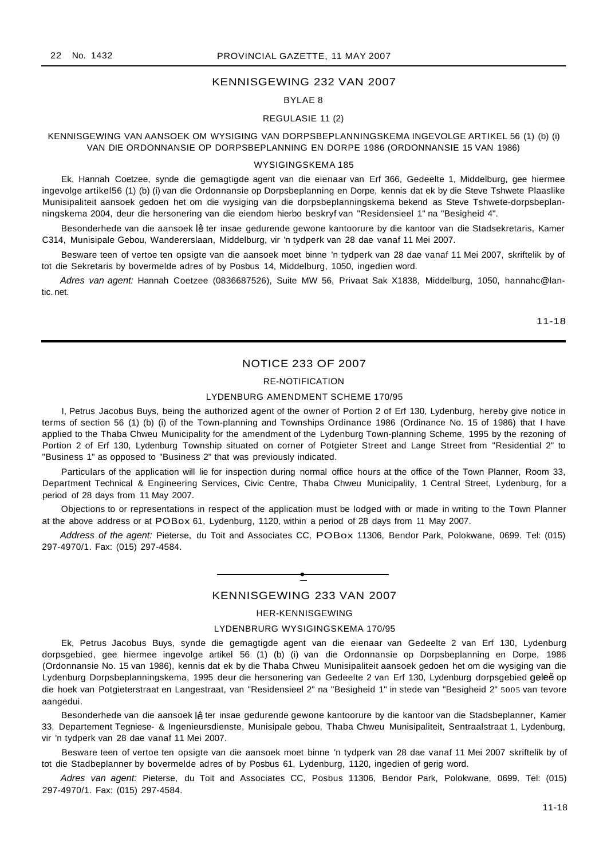#### KENNISGEWING 232 VAN 2007

#### BYLAE 8

#### REGULASIE 11 (2)

### KENNISGEWING VAN AANSOEK OM WYSIGING VAN DORPSBEPLANNINGSKEMA INGEVOLGE ARTIKEL 56 (1) (b) (i) VAN DIE ORDONNANSIE OP DORPSBEPLANNING EN DORPE 1986 (ORDONNANSIE 15 VAN 1986)

#### WYSIGINGSKEMA 185

Ek, Hannah Coetzee, synde die gemagtigde agent van die eienaar van Erf 366, Gedeelte 1, Middelburg, gee hiermee ingevolge artikel56 (1) (b) (i) van die Ordonnansie op Dorpsbeplanning en Dorpe, kennis dat ek by die Steve Tshwete Plaaslike Munisipaliteit aansoek gedoen het om die wysiging van die dorpsbeplanningskema bekend as Steve Tshwete-dorpsbeplanningskema 2004, deur die hersonering van die eiendom hierbo beskryf van "Residensieel 1" na "Besigheid 4".

Besonderhede van die aansoek lê ter insae gedurende gewone kantoorure by die kantoor van die Stadsekretaris, Kamer C314, Munisipale Gebou, Wandererslaan, Middelburg, vir 'n tydperk van 28 dae vanaf 11 Mei 2007.

Besware teen of vertoe ten opsigte van die aansoek moet binne 'n tydperk van 28 dae vanaf 11 Mei 2007, skriftelik by of tot die Sekretaris by bovermelde adres of by Posbus 14, Middelburg, 1050, ingedien word.

Adres van agent: Hannah Coetzee (0836687526), Suite MW 56, Privaat Sak X1838, Middelburg, 1050, hannahc@lantic. net.

11-18

#### NOTICE 233 OF 2007

# RE-NOTIFICATION

#### LYDENBURG AMENDMENT SCHEME 170/95

I, Petrus Jacobus Buys, being the authorized agent of the owner of Portion 2 of Erf 130, Lydenburg, hereby give notice in terms of section 56 (1) (b) (i) of the Town-planning and Townships Ordinance 1986 (Ordinance No. 15 of 1986) that I have applied to the Thaba Chweu Municipality for the amendment of the Lydenburg Town-planning Scheme, 1995 by the rezoning of Portion 2 of Erf 130, Lydenburg Township situated on corner of Potgieter Street and Lange Street from "Residential 2" to "Business 1" as opposed to "Business 2" that was previously indicated.

Particulars of the application will lie for inspection during normal office hours at the office of the Town Planner, Room 33, Department Technical & Engineering Services, Civic Centre, Thaba Chweu Municipality, 1 Central Street, Lydenburg, for a period of 28 days from 11 May 2007.

Objections to or representations in respect of the application must be lodged with or made in writing to the Town Planner at the above address or at POBox 61, Lydenburg, 1120, within a period of 28 days from <sup>11</sup> May 2007.

Address of the agent: Pieterse, du Toit and Associates CC, POBox 11306, Bendor Park, Polokwane, 0699. Tel: (015) 297-4970/1. Fax: (015) 297-4584.

# **•** KENNISGEWING 233 VAN 2007

#### HER-KENNISGEWING

# LYDENBRURG WYSIGINGSKEMA 170/95

Ek, Petrus Jacobus Buys, synde die gemagtigde agent van die eienaar van Gedeelte 2 van Erf 130, Lydenburg dorpsgebied, gee hiermee ingevolge artikel 56 (1) (b) (i) van die Ordonnansie op Dorpsbeplanning en Dorpe, 1986 (Ordonnansie No. 15 van 1986), kennis dat ek by die Thaba Chweu Munisipaliteit aansoek gedoen het om die wysiging van die Lydenburg Dorpsbeplanningskema, 1995 deur die hersonering van Gedeelte 2 van Erf 130, Lydenburg dorpsgebied geleë op die hoek van Potgieterstraat en Langestraat, van "Residensieel 2" na "Besigheid 1" in stede van "Besigheid 2" 5005 van tevore aangedui.

Besonderhede van die aansoek lê ter insae gedurende gewone kantoorure by die kantoor van die Stadsbeplanner, Kamer 33, Departement Tegniese- & Ingenieursdienste, Munisipale gebou, Thaba Chweu Munisipaliteit, Sentraalstraat 1, Lydenburg, vir 'n tydperk van 28 dae vanaf 11 Mei 2007.

Besware teen of vertoe ten opsigte van die aansoek moet binne 'n tydperk van 28 dae vanaf 11 Mei 2007 skriftelik by of tot die Stadbeplanner by bovermelde adres of by Posbus 61, Lydenburg, 1120, ingedien of gerig word.

Adres van agent: Pieterse, du Toit and Associates CC, Posbus 11306, Bendor Park, Polokwane, 0699. Tel: (015) 297-4970/1. Fax: (015) 297-4584.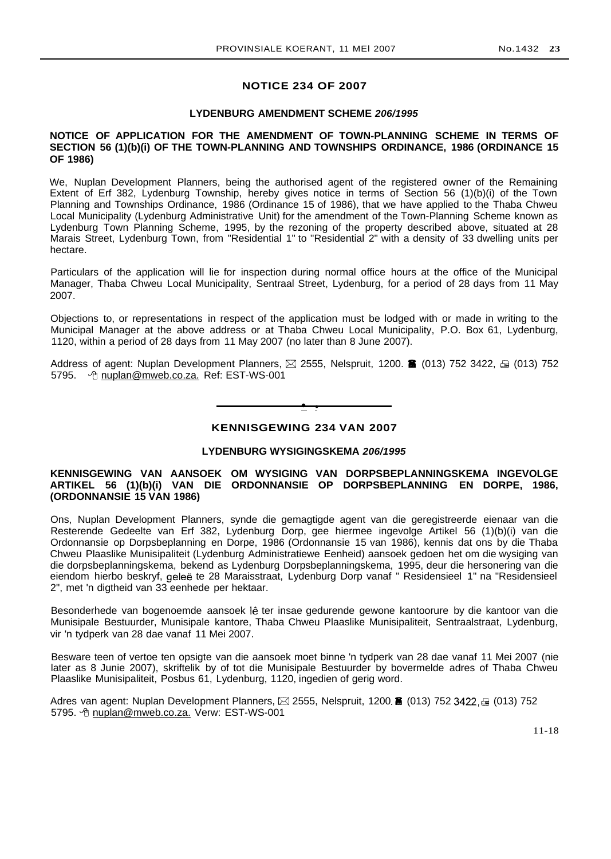# **NOTICE 234 OF 2007**

# **LYDENBURG AMENDMENT SCHEME 206/1995**

# **NOTICE OF APPLICATION FOR THE AMENDMENT OF TOWN-PLANNING SCHEME IN TERMS OF SECTION 56 (1)(b)(i) OF THE TOWN-PLANNING AND TOWNSHIPS ORDINANCE, 1986 (ORDINANCE 15 OF 1986)**

We, Nuplan Development Planners, being the authorised agent of the registered owner of the Remaining Extent of Erf 382, Lydenburg Township, hereby gives notice in terms of Section 56 (1)(b)(i) of the Town Planning and Townships Ordinance, 1986 (Ordinance 15 of 1986), that we have applied to the Thaba Chweu Local Municipality (Lydenburg Administrative Unit) for the amendment of the Town-Planning Scheme known as Lydenburg Town Planning Scheme, 1995, by the rezoning of the property described above, situated at 28 Marais Street, Lydenburg Town, from "Residential 1" to "Residential 2" with a density of 33 dwelling units per hectare.

Particulars of the application will lie for inspection during normal office hours at the office of the Municipal Manager, Thaba Chweu Local Municipality, Sentraal Street, Lydenburg, for a period of 28 days from 11 May 2007.

Objections to, or representations in respect of the application must be lodged with or made in writing to the Municipal Manager at the above address or at Thaba Chweu Local Municipality, P.O. Box 61, Lydenburg, 1120, within a period of 28 days from 11 May 2007 (no later than 8 June 2007).

Address of agent: Nuplan Development Planners,  $\boxtimes$  2555, Nelspruit, 1200.  $\blacksquare$  (013) 752 3422,  $\textcolor{red}{\Xi}$  (013) 752 5795. *O* nuplan@mweb.co.za. Ref: EST-WS-001

**• •**

# **KENNISGEWING 234 VAN 2007**

# **LYDENBURG WYSIGINGSKEMA 206/1995**

# **KENNISGEWING VAN AANSOEK OM WYSIGING VAN DORPSBEPLANNINGSKEMA INGEVOLGE ARTIKEL 56 (1)(b)(i) VAN DIE ORDONNANSIE OP DORPSBEPLANNING EN DORPE, 1986, (ORDONNANSIE 15 VAN 1986)**

Ons, Nuplan Development Planners, synde die gemagtigde agent van die geregistreerde eienaar van die Resterende Gedeelte van Erf 382, Lydenburg Dorp, gee hiermee ingevolge Artikel 56 (1)(b)(i) van die Ordonnansie op Dorpsbeplanning en Dorpe, 1986 (Ordonnansie 15 van 1986), kennis dat ons by die Thaba Chweu Plaaslike Munisipaliteit (Lydenburg Administratiewe Eenheid) aansoek gedoen het om die wysiging van die dorpsbeplanningskema, bekend as Lydenburg Dorpsbeplanningskema, 1995, deur die hersonering van die eiendom hierbo beskryf, gelee te 28 Maraisstraat, Lydenburg Dorp vanaf " Residensieel 1" na "Residensieel 2", met 'n digtheid van 33 eenhede per hektaar.

Besonderhede van bogenoemde aansoek lê ter insae gedurende gewone kantoorure by die kantoor van die Munisipale Bestuurder, Munisipale kantore, Thaba Chweu Plaaslike Munisipaliteit, Sentraalstraat, Lydenburg, vir 'n tydperk van 28 dae vanaf 11 Mei 2007.

Besware teen of vertoe ten opsigte van die aansoek moet binne 'n tydperk van 28 dae vanaf 11 Mei 2007 (nie later as 8 Junie 2007), skriftelik by of tot die Munisipale Bestuurder by bovermelde adres of Thaba Chweu Plaaslike Munisipaliteit, Posbus 61, Lydenburg, 1120, ingedien of gerig word.

Adres van agent: Nuplan Development Planners,  $\boxtimes$  2555, Nelspruit, 1200. 6 (013) 752 3422,  $\boxdot$  (013) 752 5795. <sup>h</sup>e nuplan@mweb.co.za. Verw: EST-WS-001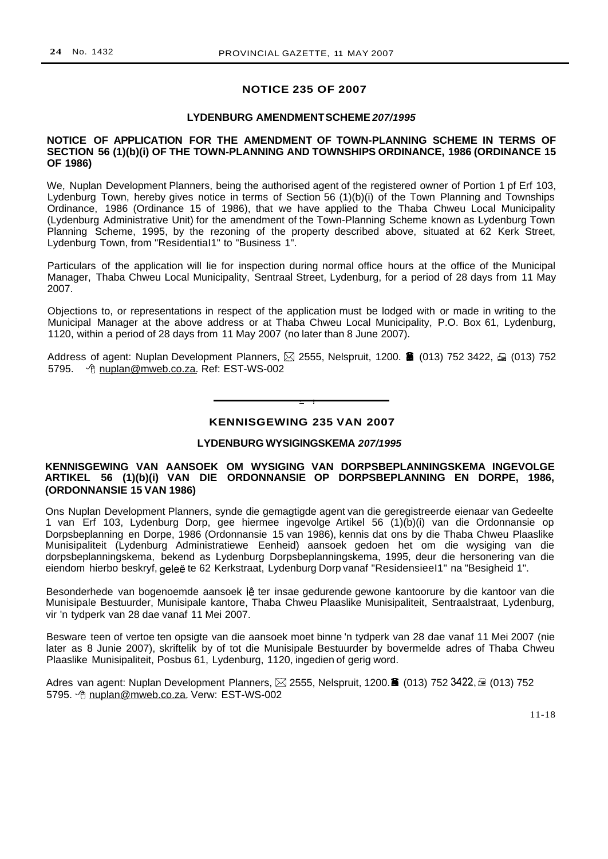# **NOTICE 235 OF 2007**

## **LYDENBURG AMENDMENTSCHEME 207/1995**

### **NOTICE OF APPLICATION FOR THE AMENDMENT OF TOWN-PLANNING SCHEME IN TERMS OF SECTION 56 (1)(b)(i) OF THE TOWN-PLANNING AND TOWNSHIPS ORDINANCE, 1986 (ORDINANCE 15 OF 1986)**

We, Nuplan Development Planners, being the authorised agent of the registered owner of Portion 1 pf Erf 103, Lydenburg Town, hereby gives notice in terms of Section 56 (1)(b)(i) of the Town Planning and Townships Ordinance, 1986 (Ordinance 15 of 1986), that we have applied to the Thaba Chweu Local Municipality (Lydenburg Administrative Unit) for the amendment of the Town-Planning Scheme known as Lydenburg Town Planning Scheme, 1995, by the rezoning of the property described above, situated at 62 Kerk Street, Lydenburg Town, from "ResidentiaI1" to "Business 1".

Particulars of the application will lie for inspection during normal office hours at the office of the Municipal Manager, Thaba Chweu Local Municipality, Sentraal Street, Lydenburg, for a period of 28 days from 11 May 2007.

Objections to, or representations in respect of the application must be lodged with or made in writing to the Municipal Manager at the above address or at Thaba Chweu Local Municipality, P.O. Box 61, Lydenburg, 1120, within a period of 28 days from 11 May 2007 (no later than 8 June 2007).

Address of agent: Nuplan Development Planners,  $\boxtimes$  2555, Nelspruit, 1200. 6 (013) 752 3422,  $\cong$  (013) 752 5795. <sup>ht</sup> nuplan@mweb.co.za. Ref: EST-WS-002

**• I**

# **KENNISGEWING 235 VAN 2007**

# **LYDENBURG WYSIGINGSKEMA 207/1995**

# **KENNISGEWING VAN AANSOEK OM WYSIGING VAN DORPSBEPLANNINGSKEMA INGEVOLGE ARTIKEL 56 (1)(b)(i) VAN DIE ORDONNANSIE OP DORPSBEPLANNING EN DORPE, 1986, (ORDONNANSIE 15 VAN 1986)**

Ons Nuplan Development Planners, synde die gemagtigde agent van die geregistreerde eienaar van Gedeelte 1 van Erf 103, Lydenburg Dorp, gee hiermee ingevolge Artikel 56 (1)(b)(i) van die Ordonnansie op Dorpsbeplanning en Dorpe, 1986 (Ordonnansie 15 van 1986), kennis dat ons by die Thaba Chweu Plaaslike Munisipaliteit (Lydenburg Administratiewe Eenheid) aansoek gedoen het om die wysiging van die dorpsbeplanningskema, bekend as Lydenburg Dorpsbeplanningskema, 1995, deur die hersonering van die eiendom hierbo beskryf, gelee te 62 Kerkstraat, Lydenburg Dorp vanaf "ResidensieeI1" na "Besigheid 1".

Besonderhede van bogenoemde aansoek lê ter insae gedurende gewone kantoorure by die kantoor van die Munisipale Bestuurder, Munisipale kantore, Thaba Chweu Plaaslike Munisipaliteit, Sentraalstraat, Lydenburg, vir 'n tydperk van 28 dae vanaf 11 Mei 2007.

Besware teen of vertoe ten opsigte van die aansoek moet binne 'n tydperk van 28 dae vanaf 11 Mei 2007 (nie later as 8 Junie 2007), skriftelik by of tot die Munisipale Bestuurder by bovermelde adres of Thaba Chweu Plaaslike Munisipaliteit, Posbus 61, Lydenburg, 1120, ingedien of gerig word.

Adres van agent: Nuplan Development Planners,  $\boxtimes$  2555, Nelspruit, 1200. $\blacksquare$  (013) 752 3422, $\boxdot$  (013) 752 5795. *The nuplan@mweb.co.za. Verw: EST-WS-002* 

11-18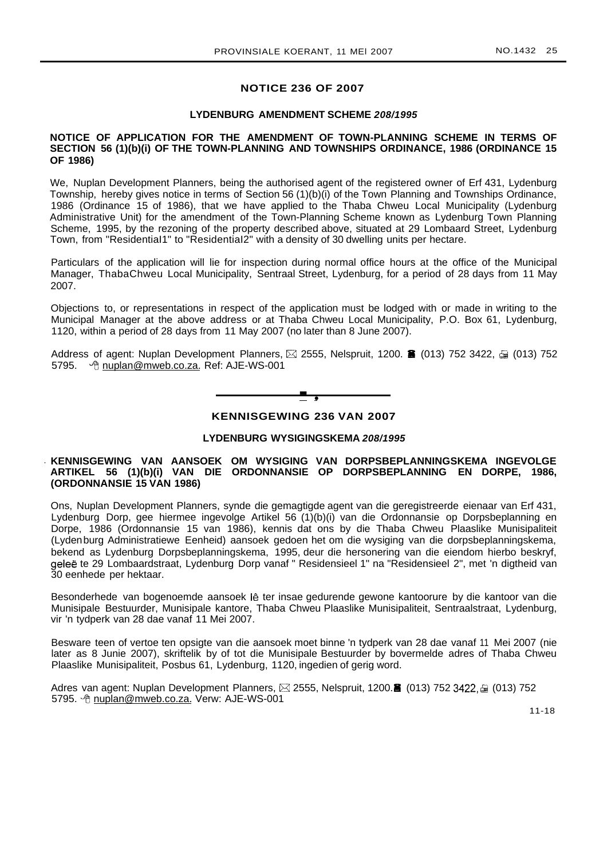# **NOTICE 236 OF 2007**

### **LYDENBURG AMENDMENT SCHEME 208/1995**

### **NOTICE OF APPLICATION FOR THE AMENDMENT OF TOWN-PLANNING SCHEME IN TERMS OF SECTION 56 (1)(b)(i) OF THE TOWN-PLANNING AND TOWNSHIPS ORDINANCE, 1986 (ORDINANCE 15 OF 1986)**

We, Nuplan Development Planners, being the authorised agent of the registered owner of Erf 431, Lydenburg Township, hereby gives notice in terms of Section 56 (1)(b)(i) of the Town Planning and Townships Ordinance, 1986 (Ordinance 15 of 1986), that we have applied to the Thaba Chweu Local Municipality (Lydenburg Administrative Unit) for the amendment of the Town-Planning Scheme known as Lydenburg Town Planning Scheme, 1995, by the rezoning of the property described above, situated at 29 Lombaard Street, Lydenburg Town, from "ResidentiaI1" to "ResidentiaI2" with a density of 30 dwelling units per hectare.

Particulars of the application will lie for inspection during normal office hours at the office of the Municipal Manager, ThabaChweu Local Municipality, Sentraal Street, Lydenburg, for a period of 28 days from 11 May 2007.

Objections to, or representations in respect of the application must be lodged with or made in writing to the Municipal Manager at the above address or at Thaba Chweu Local Municipality, P.O. Box 61, Lydenburg, 1120, within a period of 28 days from 11 May 2007 (no later than 8 June 2007).

Address of agent: Nuplan Development Planners,  $\boxtimes$  2555, Nelspruit, 1200. **ii** (013) 752 3422,  $\oplus$  (013) 752 5795. Om uplan@mweb.co.za. Ref: AJE-WS-001



# **KENNISGEWING 236 VAN 2007**

### **LYDENBURG WYSIGINGSKEMA 208/1995**

## . **KENNISGEWING VAN AANSOEK OM WYSIGING VAN DORPSBEPLANNINGSKEMA INGEVOLGE ARTIKEL 56 (1)(b)(i) VAN DIE ORDONNANSIE OP DORPSBEPLANNING EN DORPE, 1986, (ORDONNANSIE 15 VAN 1986)**

Ons, Nuplan Development Planners, synde die gemagtigde agent van die geregistreerde eienaar van Erf 431, Lydenburg Dorp, gee hiermee ingevolge Artikel 56 (1)(b)(i) van die Ordonnansie op Dorpsbeplanning en Dorpe, 1986 (Ordonnansie 15 van 1986), kennis dat ons by die Thaba Chweu Plaaslike Munisipaliteit (Lydenburg Administratiewe Eenheid) aansoek gedoen het om die wysiging van die dorpsbeplanningskema, bekend as Lydenburg Dorpsbeplanningskema, 1995, deur die hersonering van die eiendom hierbo beskryf, gelee te 29 Lombaardstraat, Lydenburg Dorp vanaf " Residensieel 1" na "Residensieel 2", met 'n digtheid van 30 eenhede per hektaar.

Besonderhede van bogenoemde aansoek lê ter insae gedurende gewone kantoorure by die kantoor van die Munisipale Bestuurder, Munisipale kantore, Thaba Chweu Plaaslike Munisipaliteit, Sentraalstraat, Lydenburg, vir 'n tydperk van 28 dae vanaf 11 Mei 2007.

Besware teen of vertoe ten opsigte van die aansoek moet binne 'n tydperk van 28 dae vanaf 11 Mei 2007 (nie later as 8 Junie 2007), skriftelik by of tot die Munisipale Bestuurder by bovermelde adres of Thaba Chweu Plaaslike Munisipaliteit, Posbus 61, Lydenburg, 1120, ingedien of gerig word.

Adres van agent: Nuplan Development Planners,  $\boxtimes$  2555, Nelspruit, 1200. $\blacksquare$  (013) 752 3422,  $\textcircled{\tiny{\textcircled{\tiny{1}}}}$  (013) 752 5795. <sup> *A*</sup> nuplan@mweb.co.za. Verw: AJE-WS-001

11-18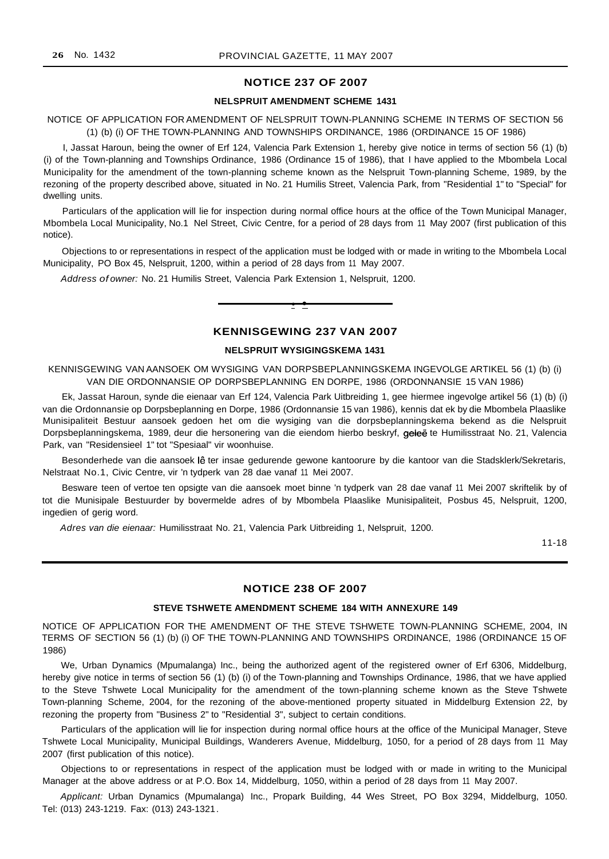# **NOTICE 237 OF 2007**

#### **NELSPRUIT AMENDMENT SCHEME 1431**

### NOTICE OF APPLICATION FOR AMENDMENT OF NELSPRUIT TOWN-PLANNING SCHEME IN TERMS OF SECTION 56 (1) (b) (i) OF THE TOWN-PLANNING AND TOWNSHIPS ORDINANCE, 1986 (ORDINANCE 15 OF 1986)

I, Jassat Haroun, being the owner of Erf 124, Valencia Park Extension 1, hereby give notice in terms of section 56 (1) (b) (i) of the Town-planning and Townships Ordinance, 1986 (Ordinance 15 of 1986), that I have applied to the Mbombela Local Municipality for the amendment of the town-planning scheme known as the Nelspruit Town-planning Scheme, 1989, by the rezoning of the property described above, situated in No. 21 Humilis Street, Valencia Park, from "Residential 1" to "Special" for dwelling units.

Particulars of the application will lie for inspection during normal office hours at the office of the Town Municipal Manager, Mbombela Local Municipality, No.1 Nel Street, Civic Centre, for a period of 28 days from 11 May 2007 (first publication of this notice).

Objections to or representations in respect of the application must be lodged with or made in writing to the Mbombela Local Municipality, PO Box 45, Nelspruit, 1200, within a period of 28 days from 11 May 2007.

Address of owner: No. 21 Humilis Street, Valencia Park Extension 1, Nelspruit, 1200.



# **KENNISGEWING 237 VAN 2007**

#### **NELSPRUIT WYSIGINGSKEMA 1431**

KENNISGEWING VAN AANSOEK OM WYSIGING VAN DORPSBEPLANNINGSKEMA INGEVOLGE ARTIKEL 56 (1) (b) (i) VAN DIE ORDONNANSIE OP DORPSBEPLANNING EN DORPE, 1986 (ORDONNANSIE 15 VAN 1986)

Ek, Jassat Haroun, synde die eienaar van Erf 124, Valencia Park Uitbreiding 1, gee hiermee ingevolge artikel 56 (1) (b) (i) van die Ordonnansie op Dorpsbeplanning en Dorpe, 1986 (Ordonnansie 15 van 1986), kennis dat ek by die Mbombela Plaaslike Munisipaliteit Bestuur aansoek gedoen het om die wysiging van die dorpsbeplanningskema bekend as die Nelspruit Dorpsbeplanningskema, 1989, deur die hersonering van die eiendom hierbo beskryf, geleë te Humilisstraat No. 21, Valencia Park, van "Residensieel 1" tot "Spesiaal" vir woonhuise.

Besonderhede van die aansoek lê ter insae gedurende gewone kantoorure by die kantoor van die Stadsklerk/Sekretaris, Nelstraat No.1, Civic Centre, vir 'n tydperk van 28 dae vanaf 11 Mei 2007.

Besware teen of vertoe ten opsigte van die aansoek moet binne 'n tydperk van 28 dae vanaf 11 Mei 2007 skriftelik by of tot die Munisipale Bestuurder by bovermelde adres of by Mbombela Plaaslike Munisipaliteit, Posbus 45, Nelspruit, 1200, ingedien of gerig word.

Adres van die eienaar: Humilisstraat No. 21, Valencia Park Uitbreiding 1, Nelspruit, 1200.

11-18

# **NOTICE 238 OF 2007**

### **STEVE TSHWETE AMENDMENT SCHEME 184 WITH ANNEXURE 149**

NOTICE OF APPLICATION FOR THE AMENDMENT OF THE STEVE TSHWETE TOWN-PLANNING SCHEME, 2004, IN TERMS OF SECTION 56 (1) (b) (i) OF THE TOWN-PLANNING AND TOWNSHIPS ORDINANCE, 1986 (ORDINANCE 15 OF 1986)

We, Urban Dynamics (Mpumalanga) Inc., being the authorized agent of the registered owner of Erf 6306, Middelburg, hereby give notice in terms of section 56 (1) (b) (i) of the Town-planning and Townships Ordinance, 1986, that we have applied to the Steve Tshwete Local Municipality for the amendment of the town-planning scheme known as the Steve Tshwete Town-planning Scheme, 2004, for the rezoning of the above-mentioned property situated in Middelburg Extension 22, by rezoning the property from "Business 2" to "Residential 3", subject to certain conditions.

Particulars of the application will lie for inspection during normal office hours at the office of the Municipal Manager, Steve Tshwete Local Municipality, Municipal Buildings, Wanderers Avenue, Middelburg, 1050, for a period of 28 days from 11 May 2007 (first publication of this notice).

Objections to or representations in respect of the application must be lodged with or made in writing to the Municipal Manager at the above address or at P.O. Box 14, Middelburg, 1050, within a period of 28 days from 11 May 2007.

Applicant: Urban Dynamics (Mpumalanga) Inc., Propark Building, 44 Wes Street, PO Box 3294, Middelburg, 1050. Tel: (013) 243-1219. Fax: (013) 243-1321.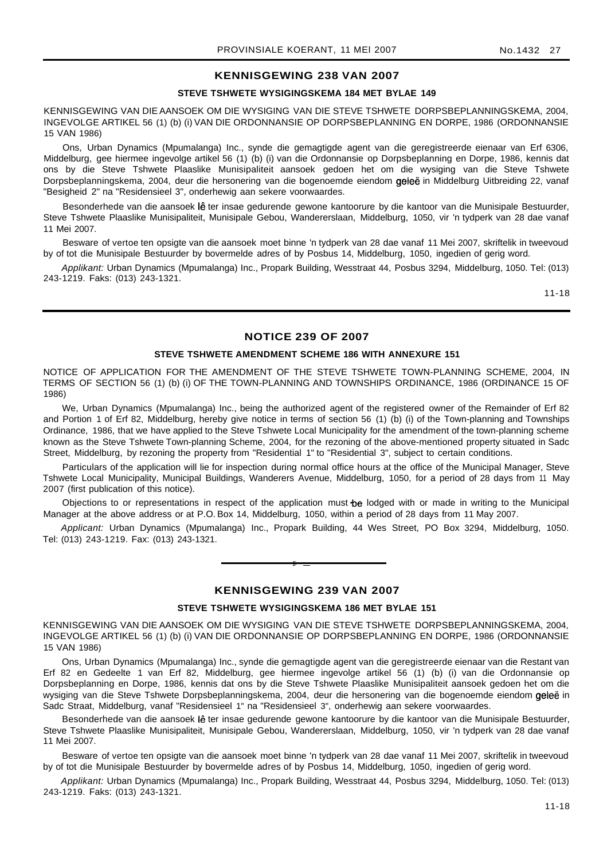# **KENNISGEWING 238 VAN 2007**

# **STEVE TSHWETE WYSIGINGSKEMA 184 MET BYLAE 149**

KENNISGEWING VAN DIE AANSOEK OM DIE WYSIGING VAN DIE STEVE TSHWETE DORPSBEPLANNINGSKEMA, 2004, INGEVOLGE ARTIKEL 56 (1) (b) (i) VAN DIE ORDONNANSIE OP DORPSBEPLANNING EN DORPE, 1986 (ORDONNANSIE 15 VAN 1986)

Ons, Urban Dynamics (Mpumalanga) Inc., synde die gemagtigde agent van die geregistreerde eienaar van Erf 6306, Middelburg, gee hiermee ingevolge artikel 56 (1) (b) (i) van die Ordonnansie op Dorpsbeplanning en Dorpe, 1986, kennis dat ons by die Steve Tshwete Plaaslike Munisipaliteit aansoek gedoen het om die wysiging van die Steve Tshwete Dorpsbeplanningskema, 2004, deur die hersonering van die bogenoemde eiendom geleë in Middelburg Uitbreiding 22, vanaf "Besigheid 2" na "Residensieel 3", onderhewig aan sekere voorwaardes.

Besonderhede van die aansoek lê ter insae gedurende gewone kantoorure by die kantoor van die Munisipale Bestuurder, Steve Tshwete Plaaslike Munisipaliteit, Munisipale Gebou, Wandererslaan, Middelburg, 1050, vir 'n tydperk van 28 dae vanaf 11 Mei 2007.

Besware of vertoe ten opsigte van die aansoek moet binne 'n tydperk van 28 dae vanaf 11 Mei 2007, skriftelik in tweevoud by of tot die Munisipale Bestuurder by bovermelde adres of by Posbus 14, Middelburg, 1050, ingedien of gerig word.

Applikant: Urban Dynamics (Mpumalanga) Inc., Propark Building, Wesstraat 44, Posbus 3294, Middelburg, 1050. Tel: (013) 243-1219. Faks: (013) 243-1321.

11-18

# **NOTICE 239 OF 2007**

#### **STEVE TSHWETE AMENDMENT SCHEME 186 WITH ANNEXURE 151**

NOTICE OF APPLICATION FOR THE AMENDMENT OF THE STEVE TSHWETE TOWN-PLANNING SCHEME, 2004, IN TERMS OF SECTION 56 (1) (b) (i) OF THE TOWN-PLANNING AND TOWNSHIPS ORDINANCE, 1986 (ORDINANCE 15 OF 1986)

We, Urban Dynamics (Mpumalanga) Inc., being the authorized agent of the registered owner of the Remainder of Erf 82 and Portion 1 of Erf 82, Middelburg, hereby give notice in terms of section 56 (1) (b) (i) of the Town-planning and Townships Ordinance, 1986, that we have applied to the Steve Tshwete Local Municipality for the amendment of the town-planning scheme known as the Steve Tshwete Town-planning Scheme, 2004, for the rezoning of the above-mentioned property situated in Sadc Street, Middelburg, by rezoning the property from "Residential 1" to "Residential 3", subject to certain conditions.

Particulars of the application will lie for inspection during normal office hours at the office of the Municipal Manager, Steve Tshwete Local Municipality, Municipal Buildings, Wanderers Avenue, Middelburg, 1050, for a period of 28 days from 11 May 2007 (first publication of this notice).

Objections to or representations in respect of the application must be lodged with or made in writing to the Municipal Manager at the above address or at P.O. Box 14, Middelburg, 1050, within a period of 28 days from 11 May 2007.

Applicant: Urban Dynamics (Mpumalanga) Inc., Propark Building, 44 Wes Street, PO Box 3294, Middelburg, 1050. Tel: (013) 243-1219. Fax: (013) 243-1321.

## **KENNISGEWING 239 VAN 2007**

**E •**

#### **STEVE TSHWETE WYSIGINGSKEMA 186 MET BYLAE 151**

KENNISGEWING VAN DIE AANSOEK OM DIE WYSIGING VAN DIE STEVE TSHWETE DORPSBEPLANNINGSKEMA, 2004, INGEVOLGE ARTIKEL 56 (1) (b) (i) VAN DIE ORDONNANSIE OP DORPSBEPLANNING EN DORPE, 1986 (ORDONNANSIE 15 VAN 1986)

Ons, Urban Dynamics (Mpumalanga) Inc., synde die gemagtigde agent van die geregistreerde eienaar van die Restant van Erf 82 en Gedeelte 1 van Erf 82, Middelburg, gee hiermee ingevolge artikel 56 (1) (b) (i) van die Ordonnansie op Dorpsbeplanning en Dorpe, 1986, kennis dat ons by die Steve Tshwete Plaaslike Munisipaliteit aansoek gedoen het om die wysiging van die Steve Tshwete Dorpsbeplanningskema, 2004, deur die hersonering van die bogenoemde eiendom geleë in Sadc Straat, Middelburg, vanaf "Residensieel 1" na "Residensieel 3", onderhewig aan sekere voorwaardes.

Besonderhede van die aansoek lê ter insae gedurende gewone kantoorure by die kantoor van die Munisipale Bestuurder, Steve Tshwete Plaaslike Munisipaliteit, Munisipale Gebou, Wandererslaan, Middelburg, 1050, vir 'n tydperk van 28 dae vanaf 11 Mei 2007.

Besware of vertoe ten opsigte van die aansoek moet binne 'n tydperk van 28 dae vanaf 11 Mei 2007, skriftelik in tweevoud by of tot die Munisipale Bestuurder by bovermelde adres of by Posbus 14, Middelburg, 1050, ingedien of gerig word.

Applikant: Urban Dynamics (Mpumalanga) Inc., Propark Building, Wesstraat 44, Posbus 3294, Middelburg, 1050. Tel: (013) 243-1219. Faks: (013) 243-1321.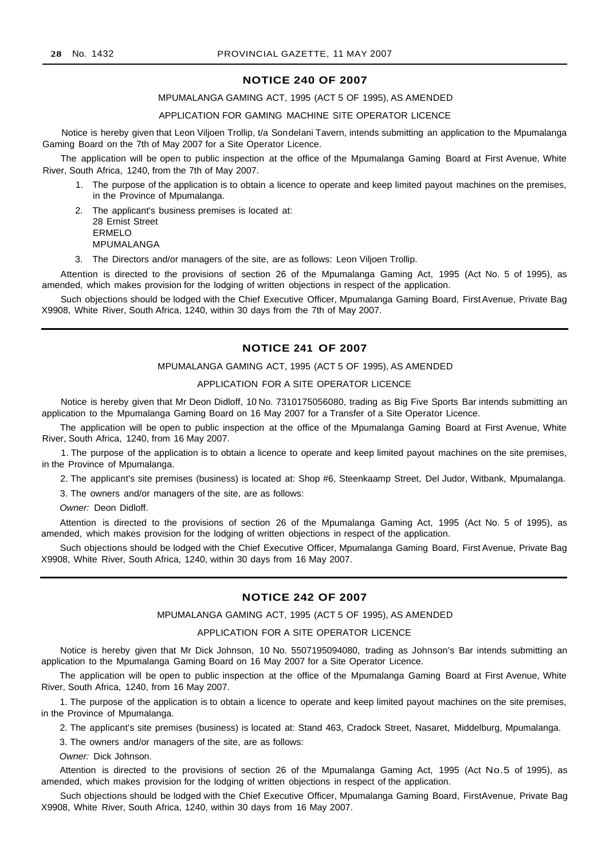#### **NOTICE 240 OF 2007**

#### MPUMALANGA GAMING ACT, 1995 (ACT 5 OF 1995), AS AMENDED

#### APPLICATION FOR GAMING MACHINE SITE OPERATOR LICENCE

Notice is hereby given that Leon Viljoen Trollip, t/a Sondelani Tavern, intends submitting an application to the Mpumalanga Gaming Board on the 7th of May 2007 for a Site Operator Licence.

The application will be open to public inspection at the office of the Mpumalanga Gaming Board at First Avenue, White River, South Africa, 1240, from the 7th of May 2007.

- 1. The purpose of the application is to obtain a licence to operate and keep limited payout machines on the premises, in the Province of Mpumalanga.
- 2. The applicant's business premises is located at: 28 Ernist Street ERMELO MPUMALANGA
- 3. The Directors and/or managers of the site, are as follows: Leon Viljoen Trollip.

Attention is directed to the provisions of section 26 of the Mpumalanga Gaming Act, 1995 (Act No. 5 of 1995), as amended, which makes provision for the lodging of written objections in respect of the application.

Such objections should be lodged with the Chief Executive Officer, Mpumalanga Gaming Board, First Avenue, Private Bag X9908, White River, South Africa, 1240, within 30 days from the 7th of May 2007.

## **NOTICE 241 OF 2007**

#### MPUMALANGA GAMING ACT, 1995 (ACT 5 OF 1995), AS AMENDED

### APPLICATION FOR A SITE OPERATOR LICENCE

Notice is hereby given that Mr Deon Didloff, 10 No. 7310175056080, trading as Big Five Sports Bar intends submitting an application to the Mpumalanga Gaming Board on 16 May 2007 for a Transfer of a Site Operator Licence.

The application will be open to public inspection at the office of the Mpumalanga Gaming Board at First Avenue, White River, South Africa, 1240, from 16 May 2007.

1. The purpose of the application is to obtain a licence to operate and keep limited payout machines on the site premises, in the Province of Mpumalanga.

2. The applicant's site premises (business) is located at: Shop #6, Steenkaamp Street, Del Judor, Witbank, Mpumalanga.

3. The owners and/or managers of the site, are as follows:

Owner: Deon Didloff.

Attention is directed to the provisions of section 26 of the Mpumalanga Gaming Act, 1995 (Act No. 5 of 1995), as amended, which makes provision for the lodging of written objections in respect of the application.

Such objections should be lodged with the Chief Executive Officer, Mpumalanga Gaming Board, First Avenue, Private Bag X9908, White River, South Africa, 1240, within 30 days from 16 May 2007.

# **NOTICE 242 OF 2007**

#### MPUMALANGA GAMING ACT, 1995 (ACT 5 OF 1995), AS AMENDED

#### APPLICATION FOR A SITE OPERATOR LICENCE

Notice is hereby given that Mr Dick Johnson, 10 No. 5507195094080, trading as Johnson's Bar intends submitting an application to the Mpumalanga Gaming Board on 16 May 2007 for a Site Operator Licence.

The application will be open to public inspection at the office of the Mpumalanga Gaming Board at First Avenue, White River, South Africa, 1240, from 16 May 2007.

1. The purpose of the application is to obtain a licence to operate and keep limited payout machines on the site premises, in the Province of Mpumalanga.

2. The applicant's site premises (business) is located at: Stand 463, Cradock Street, Nasaret, Middelburg, Mpumalanga.

3. The owners and/or managers of the site, are as follows:

Owner: Dick Johnson.

Attention is directed to the provisions of section 26 of the Mpumalanga Gaming Act, 1995 (Act No.5 of 1995), as amended, which makes provision for the lodging of written objections in respect of the application.

Such objections should be lodged with the Chief Executive Officer, Mpumalanga Gaming Board, FirstAvenue, Private Bag X9908, White River, South Africa, 1240, within 30 days from 16 May 2007.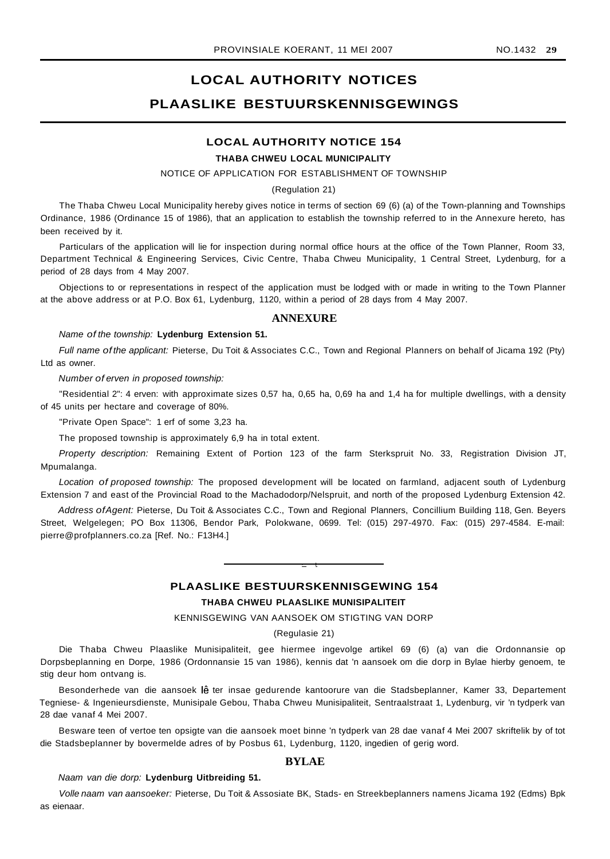# **LOCAL AUTHORITY NOTICES PLAASLIKE BESTUURSKENNISGEWINGS**

# **LOCAL AUTHORITY NOTICE 154**

# **THABA CHWEU LOCAL MUNICIPALITY**

NOTICE OF APPLICATION FOR ESTABLISHMENT OF TOWNSHIP

#### (Regulation 21)

The Thaba Chweu Local Municipality hereby gives notice in terms of section 69 (6) (a) of the Town-planning and Townships Ordinance, 1986 (Ordinance 15 of 1986), that an application to establish the township referred to in the Annexure hereto, has been received by it.

Particulars of the application will lie for inspection during normal office hours at the office of the Town Planner, Room 33, Department Technical & Engineering Services, Civic Centre, Thaba Chweu Municipality, 1 Central Street, Lydenburg, for a period of 28 days from 4 May 2007.

Objections to or representations in respect of the application must be lodged with or made in writing to the Town Planner at the above address or at P.O. Box 61, Lydenburg, 1120, within a period of 28 days from 4 May 2007.

#### **ANNEXURE**

#### Name of the township: **Lydenburg Extension 51.**

Full name of the applicant: Pieterse, Du Toit & Associates C.C., Town and Regional Planners on behalf of Jicama 192 (Pty) Ltd as owner.

Number of erven in proposed township:

"Residential 2": 4 erven: with approximate sizes 0,57 ha, 0,65 ha, 0,69 ha and 1,4 ha for multiple dwellings, with a density of 45 units per hectare and coverage of 80%.

"Private Open Space": 1 erf of some 3,23 ha.

The proposed township is approximately 6,9 ha in total extent.

Property description: Remaining Extent of Portion 123 of the farm Sterkspruit No. 33, Registration Division JT, Mpumalanga.

Location of proposed township: The proposed development will be located on farmland, adjacent south of Lydenburg Extension 7 and east of the Provincial Road to the Machadodorp/Nelspruit, and north of the proposed Lydenburg Extension 42.

Address ofAgent: Pieterse, Du Toit & Associates C.C., Town and Regional Planners, Concillium Building 118, Gen. Beyers Street, Welgelegen; PO Box 11306, Bendor Park, Polokwane, 0699. Tel: (015) 297-4970. Fax: (015) 297-4584. E-mail: pierre@profplanners.co.za [Ref. No.: F13H4.]

# **PLAASLIKE BESTUURSKENNISGEWING 154**

**• I**

# **THABA CHWEU PLAASLIKE MUNISIPALITEIT**

KENNISGEWING VAN AANSOEK OM STIGTING VAN DORP

#### (Regulasie 21)

Die Thaba Chweu Plaaslike Munisipaliteit, gee hiermee ingevolge artikel 69 (6) (a) van die Ordonnansie op Dorpsbeplanning en Dorpe, 1986 (Ordonnansie 15 van 1986), kennis dat 'n aansoek om die dorp in Bylae hierby genoem, te stig deur hom ontvang is.

Besonderhede van die aansoek lê ter insae gedurende kantoorure van die Stadsbeplanner, Kamer 33, Departement Tegniese- & Ingenieursdienste, Munisipale Gebou, Thaba Chweu Munisipaliteit, Sentraalstraat 1, Lydenburg, vir 'n tydperk van 28 dae vanaf 4 Mei 2007.

Besware teen of vertoe ten opsigte van die aansoek moet binne 'n tydperk van 28 dae vanaf 4 Mei 2007 skriftelik by of tot die Stadsbeplanner by bovermelde adres of by Posbus 61, Lydenburg, 1120, ingedien of gerig word.

# **BYLAE**

#### Naam van die dorp: **Lydenburg Uitbreiding 51.**

Volle naam van aansoeker: Pieterse, Du Toit & Assosiate BK, Stads- en Streekbeplanners namens Jicama 192 (Edms) Bpk as eienaar.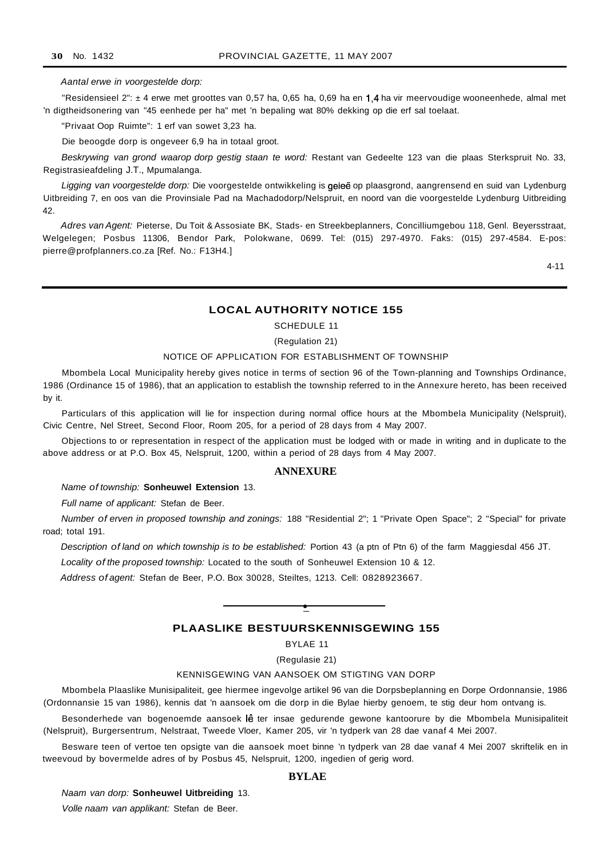#### Aantal erwe in voorgestelde dorp:

"Residensieel 2": ± 4 erwe met groottes van 0,57 ha, 0,65 ha, 0,69 ha en 1,4 ha vir meervoudige wooneenhede, almal met 'n digtheidsonering van "45 eenhede per ha" met 'n bepaling wat 80% dekking op die erf sal toelaat.

"Privaat Oop Ruimte": 1 erf van sowet 3,23 ha.

Die beoogde dorp is ongeveer 6,9 ha in totaal groot.

Beskrywing van grond waarop dorp gestig staan te word: Restant van Gedeelte 123 van die plaas Sterkspruit No. 33, Registrasieafdeling J.T., Mpumalanga.

Ligging van voorgestelde dorp: Die voorgestelde ontwikkeling is geleë op plaasgrond, aangrensend en suid van Lydenburg Uitbreiding 7, en oos van die Provinsiale Pad na Machadodorp/Nelspruit, en noord van die voorgestelde Lydenburg Uitbreiding 42.

Adres van Agent: Pieterse, Du Toit & Assosiate BK, Stads- en Streekbeplanners, Concilliumgebou 118, Genl. Beyersstraat, Welgelegen; Posbus 11306, Bendor Park, Polokwane, 0699. Tel: (015) 297-4970. Faks: (015) 297-4584. E-pos: pierre@profplanners.co.za [Ref. No.: F13H4.]

4-11

#### **LOCAL AUTHORITY NOTICE 155**

SCHEDULE 11

#### (Regulation 21)

#### NOTICE OF APPLICATION FOR ESTABLISHMENT OF TOWNSHIP

Mbombela Local Municipality hereby gives notice in terms of section 96 of the Town-planning and Townships Ordinance, 1986 (Ordinance 15 of 1986), that an application to establish the township referred to in the Annexure hereto, has been received by it.

Particulars of this application will lie for inspection during normal office hours at the Mbombela Municipality (Nelspruit), Civic Centre, Nel Street, Second Floor, Room 205, for a period of 28 days from 4 May 2007.

Objections to or representation in respect of the application must be lodged with or made in writing and in duplicate to the above address or at P.O. Box 45, Nelspruit, 1200, within a period of 28 days from 4 May 2007.

#### **ANNEXURE**

#### Name of township: **Sonheuwel Extension** 13.

Full name of applicant: Stefan de Beer.

Number of erven in proposed township and zonings: 188 "Residential 2"; 1 "Private Open Space"; 2 "Special" for private road; total 191.

Description of land on which township is to be established: Portion 43 (a ptn of Ptn 6) of the farm Maggiesdal 456 JT.

Locality of the proposed township: Located to the south of Sonheuwel Extension 10 & 12.

Address of agent: Stefan de Beer, P.O. Box 30028, Steiltes, 1213. Cell: 0828923667.

# **PLAASLIKE BESTUURSKENNISGEWING 155**

**•**

BYLAE 11

(Regulasie 21)

#### KENNISGEWING VAN AANSOEK OM STIGTING VAN DORP

Mbombela Plaaslike Munisipaliteit, gee hiermee ingevolge artikel 96 van die Dorpsbeplanning en Dorpe Ordonnansie, 1986 (Ordonnansie 15 van 1986), kennis dat 'n aansoek om die dorp in die Bylae hierby genoem, te stig deur hom ontvang is.

Besonderhede van bogenoemde aansoek lê ter insae gedurende gewone kantoorure by die Mbombela Munisipaliteit (Nelspruit), Burgersentrum, Nelstraat, Tweede Vloer, Kamer 205, vir 'n tydperk van 28 dae vanaf 4 Mei 2007.

Besware teen of vertoe ten opsigte van die aansoek moet binne 'n tydperk van 28 dae vanaf 4 Mei 2007 skriftelik en in tweevoud by bovermelde adres of by Posbus 45, Nelspruit, 1200, ingedien of gerig word.

### **BYLAE**

Naam van dorp: **Sonheuwel Uitbreiding** 13.

Volle naam van applikant: Stefan de Beer.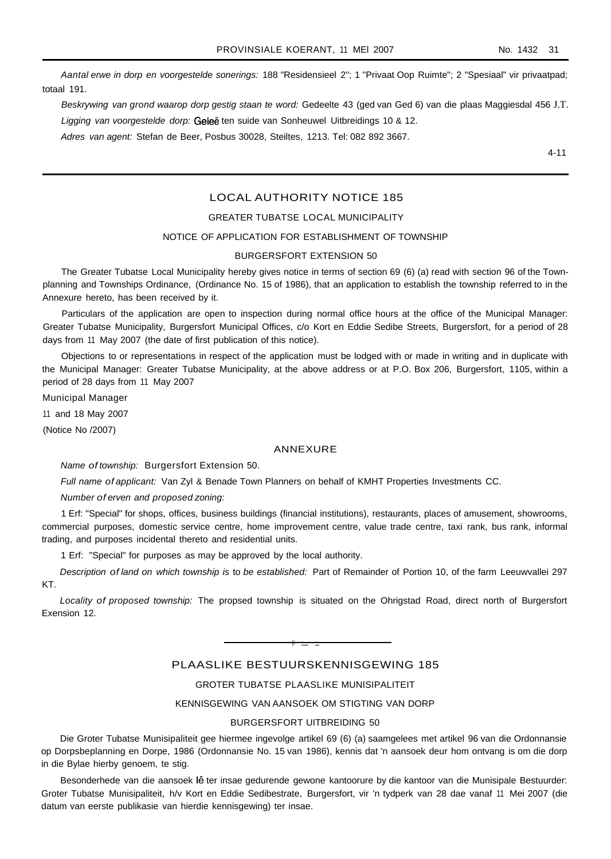Aantal erwe in dorp en voorgestelde sonerings: 188 "Residensieel 2"; 1 "Privaat Oop Ruimte"; 2 "Spesiaal" vir privaatpad; totaal 191.

Beskrywing van grond waarop dorp gestig staan te word: Gedeelte 43 (ged van Ged 6) van die plaas Maggiesdal 456 J.T. Ligging van voorgestelde dorp: Geleë ten suide van Sonheuwel Uitbreidings 10 & 12.

Adres van agent: Stefan de Beer, Posbus 30028, Steiltes, 1213. Tel: 082 892 3667.

4-11

# LOCAL AUTHORITY NOTICE 185

# GREATER TUBATSE LOCAL MUNICIPALITY

#### NOTICE OF APPLICATION FOR ESTABLISHMENT OF TOWNSHIP

#### BURGERSFORT EXTENSION 50

The Greater Tubatse Local Municipality hereby gives notice in terms of section 69 (6) (a) read with section 96 of the Townplanning and Townships Ordinance, (Ordinance No. 15 of 1986), that an application to establish the township referred to in the Annexure hereto, has been received by it.

Particulars of the application are open to inspection during normal office hours at the office of the Municipal Manager: Greater Tubatse Municipality, Burgersfort Municipal Offices, c/o Kort en Eddie Sedibe Streets, Burgersfort, for a period of 28 days from 11 May 2007 (the date of first publication of this notice).

Objections to or representations in respect of the application must be lodged with or made in writing and in duplicate with the Municipal Manager: Greater Tubatse Municipality, at the above address or at P.O. Box 206, Burgersfort, 1105, within a period of 28 days from 11 May 2007

Municipal Manager

11 and 18 May 2007

(Notice No /2007)

#### ANNEXURE

Name of township: Burgersfort Extension 50.

Full name of applicant: Van Zyl & Benade Town Planners on behalf of KMHT Properties Investments CC.

Number of erven and proposed zoning:

1 Erf: "Special" for shops, offices, business buildings (financial institutions), restaurants, places of amusement, showrooms, commercial purposes, domestic service centre, home improvement centre, value trade centre, taxi rank, bus rank, informal trading, and purposes incidental thereto and residential units.

1 Erf: "Special" for purposes as may be approved by the local authority.

Description of land on which township is to be established: Part of Remainder of Portion 10, of the farm Leeuwvallei 297 KT.

Locality of proposed township: The propsed township is situated on the Ohrigstad Road, direct north of Burgersfort Exension 12.

# PLAASLIKE BESTUURSKENNISGEWING 185

E **• •**

# GROTER TUBATSE PLAASLIKE MUNISIPALITEIT

# KENNISGEWING VAN AANSOEK OM STIGTING VAN DORP

### BURGERSFORT UITBREIDING 50

Die Groter Tubatse Munisipaliteit gee hiermee ingevolge artikel 69 (6) (a) saamgelees met artikel 96 van die Ordonnansie op Dorpsbeplanning en Dorpe, 1986 (Ordonnansie No. 15 van 1986), kennis dat 'n aansoek deur hom ontvang is om die dorp in die Bylae hierby genoem, te stig.

Besonderhede van die aansoek lê ter insae gedurende gewone kantoorure by die kantoor van die Munisipale Bestuurder: Groter Tubatse Munisipaliteit, h/v Kort en Eddie Sedibestrate, Burgersfort, vir 'n tydperk van 28 dae vanaf 11 Mei 2007 (die datum van eerste publikasie van hierdie kennisgewing) ter insae.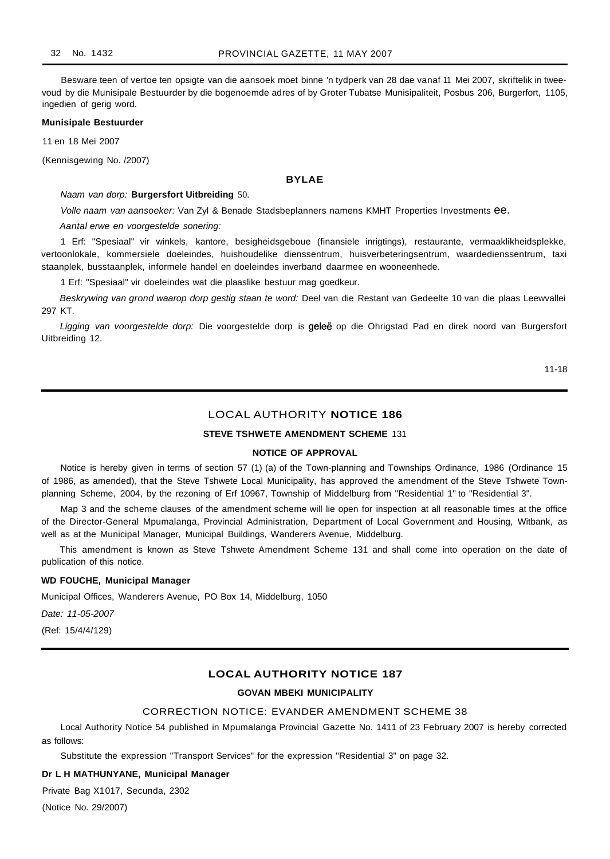Besware teen of vertoe ten opsigte van die aansoek moet binne 'n tydperk van 28 dae vanaf 11 Mei 2007, skriftelik in tweevoud by die Munisipale Bestuurder by die bogenoemde adres of by Groter Tubatse Munisipaliteit, Posbus 206, Burgerfort, 1105, ingedien of gerig word.

#### **Munisipale Bestuurder**

11 en 18 Mei 2007

(Kennisgewing No. /2007)

#### **BYLAE**

Naam van dorp: **Burgersfort Uitbreiding** 50.

Volle naam van aansoeker: Van Zyl & Benade Stadsbeplanners namens KMHT Properties Investments ee.

Aantal erwe en voorgestelde sonering:

1 Erf: "Spesiaal" vir winkels, kantore, besigheidsgeboue (finansiele inrigtings), restaurante, vermaaklikheidsplekke, vertoonlokale, kommersiele doeleindes, huishoudelike dienssentrum, huisverbeteringsentrum, waardedienssentrum, taxi staanplek, busstaanplek, informele handel en doeleindes inverband daarmee en wooneenhede.

1 Erf: "Spesiaal" vir doeleindes wat die plaaslike bestuur mag goedkeur.

Beskrywing van grond waarop dorp gestig staan te word: Deel van die Restant van Gedeelte 10 van die plaas Leewvallei 297 KT.

Ligging van voorgestelde dorp: Die voorgestelde dorp is geleë op die Ohrigstad Pad en direk noord van Burgersfort Uitbreiding 12.

11-18

# LOCAL AUTHORITY **NOTICE 186**

# **STEVE TSHWETE AMENDMENT SCHEME** 131

#### **NOTICE OF APPROVAL**

Notice is hereby given in terms of section 57 (1) (a) of the Town-planning and Townships Ordinance, 1986 (Ordinance 15 of 1986, as amended), that the Steve Tshwete Local Municipality, has approved the amendment of the Steve Tshwete Townplanning Scheme, 2004, by the rezoning of Erf 10967, Township of Middelburg from "Residential 1" to "Residential 3".

Map 3 and the scheme clauses of the amendment scheme will lie open for inspection at all reasonable times at the office of the Director-General Mpumalanga, Provincial Administration, Department of Local Government and Housing, Witbank, as well as at the Municipal Manager, Municipal Buildings, Wanderers Avenue, Middelburg.

This amendment is known as Steve Tshwete Amendment Scheme 131 and shall come into operation on the date of publication of this notice.

#### **WD FOUCHE, Municipal Manager**

Municipal Offices, Wanderers Avenue, PO Box 14, Middelburg, 1050

Date: 11-05-2007

(Ref: 15/4/4/129)

# **LOCAL AUTHORITY NOTICE 187**

#### **GOVAN MBEKI MUNICIPALITY**

#### CORRECTION NOTICE: EVANDER AMENDMENT SCHEME 38

Local Authority Notice 54 published in Mpumalanga Provincial Gazette No. 1411 of 23 February 2007 is hereby corrected as follows:

Substitute the expression "Transport Services" for the expression "Residential 3" on page 32.

#### **Dr L H MATHUNYANE, Municipal Manager**

Private Bag X1017, Secunda, 2302

(Notice No. 29/2007)